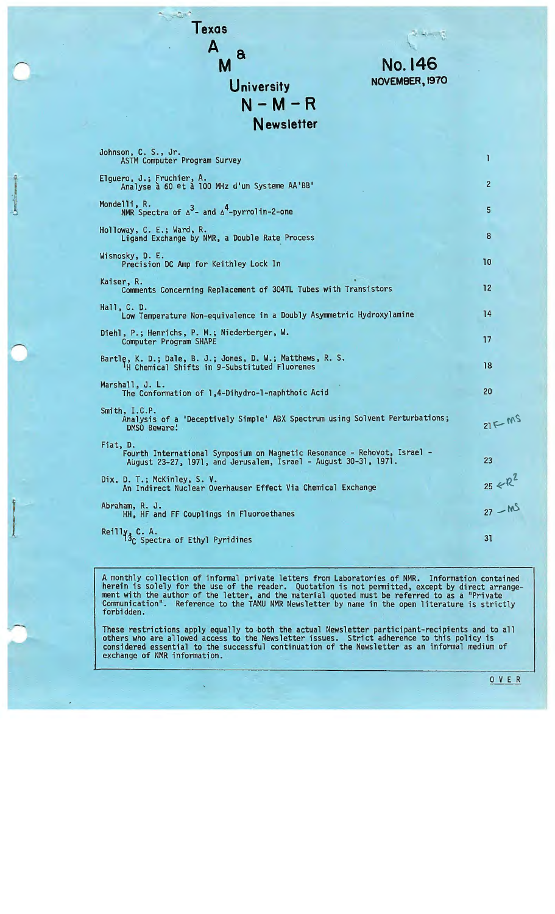**Texas A a M University N-M-R Newsletter** 

I  $\lambda$ **No.146 NOVEMBER, 1970** 

 $-1$ 

| Johnson, C. S., Jr.<br>ASTM Computer Program Survey                                                                                                     | 1               |
|---------------------------------------------------------------------------------------------------------------------------------------------------------|-----------------|
| Elguero, J.; Fruchier, A.<br>Analyse à 60 et à 100 MHz d'un Systeme AA'BB'                                                                              | $\overline{2}$  |
| Mondelli, R.<br>NMR Spectra of $\Delta^3$ - and $\Delta^4$ -pyrrolin-2-one                                                                              | 5               |
| Holloway, C. E.; Ward, R.<br>Ligand Exchange by NMR, a Double Rate Process                                                                              | 8               |
| Wisnosky, D. E.<br>Precision DC Amp for Keithley Lock In                                                                                                | 10              |
| Kaiser, R.<br>Comments Concerning Replacement of 304TL Tubes with Transistors                                                                           | 12              |
| Hall, C. D.<br>Low Temperature Non-equivalence in a Doubly Asymmetric Hydroxylamine                                                                     | 14              |
| Diehl, P.; Henrichs, P. M.; Niederberger, W.<br>Computer Program SHAPE                                                                                  | 17              |
| Bartle, K. D.; Dale, B. J.; Jones, D. W.; Matthews, R. S.<br>H Chemical Shifts in 9-Substituted Fluorenes                                               | 18              |
| Marshall, J. L.<br>The Conformation of 1,4-Dihydro-1-naphthoic Acid                                                                                     | 20              |
| Smith, I.C.P.<br>Analysis of a 'Deceptively Simple' ABX Spectrum using Solvent Perturbations;<br>DMSO Beware!                                           | 21FMS           |
| Fiat, D.<br>Fourth International Symposium on Magnetic Resonance - Rehovot, Israel -<br>August 23-27, 1971, and Jerusalem, Israel - August 30-31, 1971. | 23              |
| Dix, D. T.; McKinley, S. V.<br>An Indirect Nuclear Overhauser Effect Via Chemical Exchange                                                              | $25 \times R^2$ |
| Abraham, R. J.<br>HH, HF and FF Couplings in Fluoroethanes                                                                                              | $27 - M3$       |
| Reilly, $C. A.$<br><sup>13</sup> C Spectra of Ethyl Pyridines                                                                                           | 31              |
|                                                                                                                                                         |                 |

A monthly collection of informal private letters from Laboratories of NMR. Information contained herein is solely for the use of the reader. Quotation is not permitted, except by direct arrangement with the author of the letter, and the material quoted must be referred to as a "Private Communication". Reference to the TAMU NMR Newsletter by name in the open literature is strictly forbidden.

These restrictions apply equally to both the actual Newsletter participant-recipients and to all others who are allowed access to the Newsletter issues. Strict adherence to this policy is considered essential to the successful continuation of the Newsletter as an informal medium of exchange of NMR information.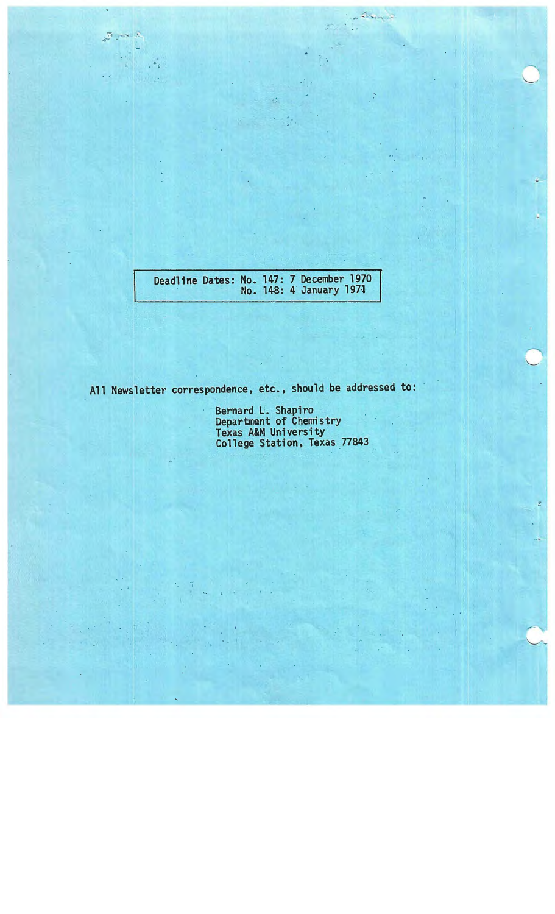Deadline Dates: No. 147: 7 December 1970 No. 148: 4 January 1971

 $\frac{1}{2}$ 

All Newsletter correspondence, etc., should be addressed to:

Bernard L. Shapiro<br>Department of Chemistry Texas A&M University<br>College Station, Texas 77843

..

n Stein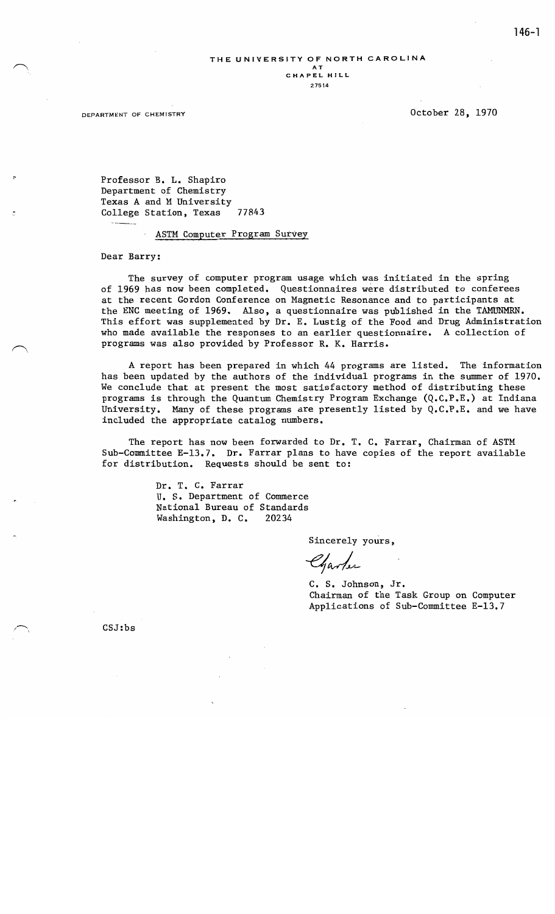#### THE **UNIVERSITY** OF **NORTH CAROLINA AT CHAPEL** HILL 2 7514

DEPARTMENT OF CHEMISTRY **DEPARTMENT** OF CHEMISTRY

Professor B. L. Shapiro Department of Chemistry Texas A and M University College Station, Texas 77843

ASTM Computer Program Survey

Dear Barry:

The survey of computer program usage which was initiated in the spring of 1969 has now been completed. Questionnaires were distributed to conferees at. the recent Gordon Conference on Magnetic Resonance and to participants at the ENC meeting of 1969. Also, a questionnaire was published in the TAMUNMRN. This effort was supplemented by Dr. E. Lustig of the Food and Drug Administration who made available the responses to an earlier questionnaire. A collection of programs was also provided by Professor R. K. Harris.

A report has been prepared in which 44 programs are listed. The information has been updated by the authors of the individual programs in the summer of 1970. We conclude that at present the most satisfactory method of distributing these programs is through the Quantum Chemistry Program Exchange (Q.C.P.E.) at Indiana University. Many of these programs are presently listed by Q.C.P.E. and we have included the appropriate catalog numbers.

The report has now been forwarded to Dr. T. C. Farrar, Chairman of ASTM Sub-Committee E-13.7. Dr. Farrar plans to have copies of the report available for distribution. Requests should be sent to:

> Dr. T. c. Farrar u. s. Department of Commerce National Bureau of Standards<br>Washington, D. C. 20234 Washington, D. C.

> > Sincerely yours,

Charter

C. S. Johnson, Jr. Chairman of the Task Group on Computer Applications of Sub-Committee E-13.7

CSJ:bs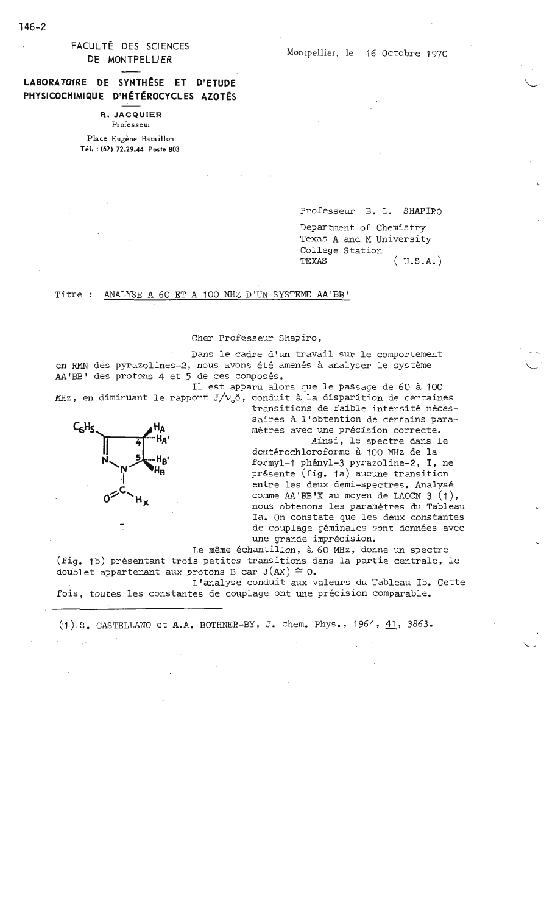L

 $\sim$ 

# **FA CUL TE DES SCI ENC ES DE MONTPELLIER Montpellier, le** 16 Octobre 1970

## **LABORATOIRE DE SYMTHESE ET D'ETUDE PHYSICOCHIMIQUE D'HETEROCYCLES AZOTES**

### **R. JACQUIER**  Professeur

Place Eugène Bataillon **Tel. : (67) 72.29.44 Poste 803** 

Professeur B. L. SHAPIRO

Department of Chemistry Texas A and M University College Station  $( U.S.A.)$ 

## Titre : ANALYSE A 60 ET A 100 MHZ D'UN SYSTEME AA'BB'

### Cher Professeur Shapiro,

Dans le cadre d'un travail sur le comportement en RMN des pyrazolines-2, nous avons été amenés à analyser le système AA'BB' des protons 4 et 5 de ces composés.

Il est apparu alors que le passage de 60 à 100 MHz, en diminuant le rapport  $J/\nu_o \delta$ , conduit à la disparition de certaines

transitions de faible intensité néces-

saires à l'obtention de certains parametres avec une precision correcte. Ainsi, le spectre dans le

deutérochloroforme à 100 MHz de la formyl-1 phényl-3 pyrazoline-2, I, ne présente (fig. 1a) aucune transition entre les deux demi-spectres. Analysé comme AA'BB'X au moyen de LAOCN 3 **(1),**  nous obtenons les parametres du Tableau Ia. On constate que les deux constantes de couplage géminales sont données avec une grande imprécision.

Le même échantillon, à 60 MHz, donne un spectre (fig. 1b) présentant trois petites transitions dans la partie centrale, le doublet appartenant aux protons B car  $J(AX) \cong 0$ .

L'analyse conduit aux valeurs du Tableau Ib. Cette fois, toutes les constantes de couplage ont une précision comparable.

. (1)S. CASTELLANO et **A.A.** BOTHNER-BY, J. chem. Phys., 1964, **11.,** 3863.



I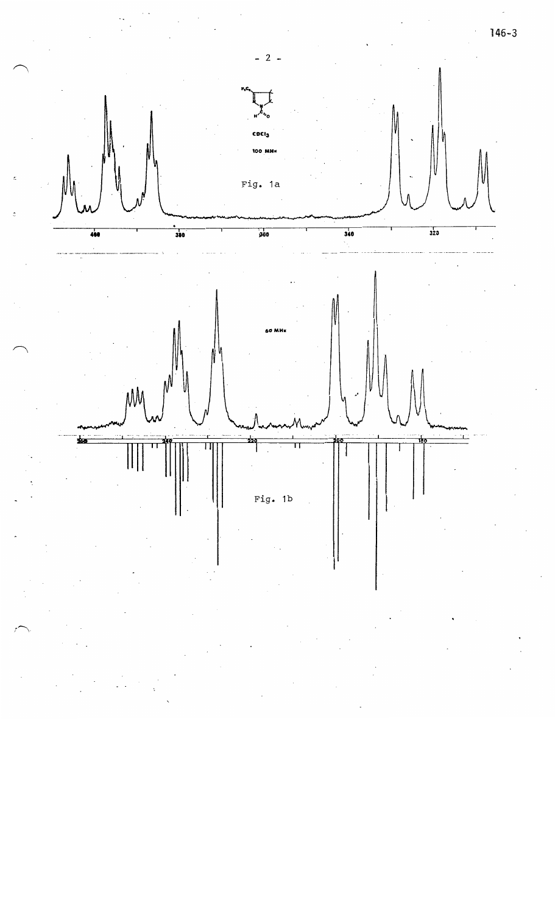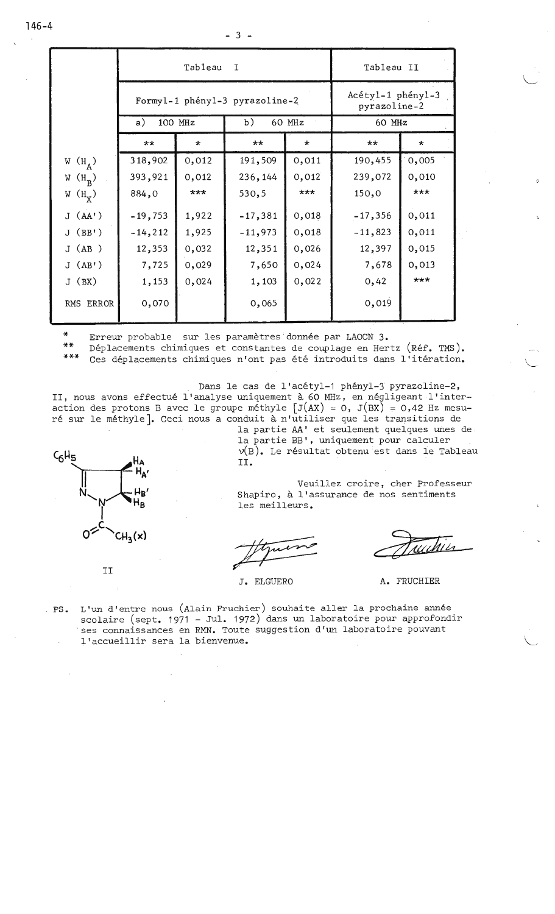|                        | Tableau<br>I  |                                |                                   |         | Tableau II |         |
|------------------------|---------------|--------------------------------|-----------------------------------|---------|------------|---------|
|                        |               | Formyl-1 phényl-3 pyrazoline-2 | Acétyl-1 phényl-3<br>pyrazoline-2 |         |            |         |
|                        | a)<br>100 MHz |                                | b)<br>60 MHz                      |         | 60 MHz     |         |
|                        | $***$         | $\star$                        | $***$                             | $\star$ | **         | $\star$ |
| $W(H_A)$               | 318,902       | 0,012                          | 191,509                           | 0,011   | 190,455    | 0,005   |
| $W(H_p)$               | 393,921       | 0,012                          | 236, 144                          | 0,012   | 239,072    | 0,010   |
| $W(H_y)$               | 884,0         | ***                            | 530, 5                            | ***     | 150,0      | ***     |
| $J(AA^{\dagger})$      | $-19,753$     | 1,922                          | $-17,381$                         | 0,018   | $-17,356$  | 0,011   |
| $J$ (BB <sup>t</sup> ) | $-14, 212$    | 1,925                          | $-11,973$                         | 0,018   | $-11,823$  | 0,011   |
| J(AB)                  | 12,353        | 0,032                          | 12,351                            | 0,026   | 12,397     | 0,015   |
| J(AB')                 | 7,725         | 0,029                          | 7,650                             | 0,024   | 7,678      | 0,013   |
| (BX)<br>J              | 1,153         | 0,024                          | 1,103                             | 0,022   | 0,42       | ***     |
| RMS ERROR              | 0,070         |                                | 0,065                             |         | 0,019      |         |

\*<br>.. Erreur probable sur les paramètres donnée par LAOCN 3.

\*\*<br>.... Déplacements chimiques et constantes de couplage en Hertz (Réf. TMS).

\*\*\* Ces déplacements chimiques n'ont pas été introduits dans l'itération.

Dans le cas de l'acétyl-1 phényl-3 pyrazoline-2, II, nous avons effectue l'analyse uniquement a 60 MHz, en negligeant l'interaction des protons B avec le groupe méthyle  $[J(AX) = 0, J(BX) = 0,42$  Hz mesuré sur le méthyle]. Ceci nous a conduit à n'utiliser que les transitions de

la partie AA' et seulement quelques unes de la partie BB', uniquement pour calculer  $\nu(B)$ . Le résultat obtenu est dans le Tableau II.

Veuillez croire, cher Professeur Shapiro, a l'assurance de nos sentiments les meilleurs.

J. ELGUERO A. FRUCHTER

PS. L'un d'entre nous (Alain Fruchier) souhaite aller la prochaine année scolaire (sept. 1971 - Jul. 1972) dans un laboratoire pour approfondir ses connaissances en RMN. Toute suggestion d'un laboratoire pouvant l'accueillir sera la bienvenue.

Ha  $H_2(x)$ 

Ϲϝឣҕ

II

Hд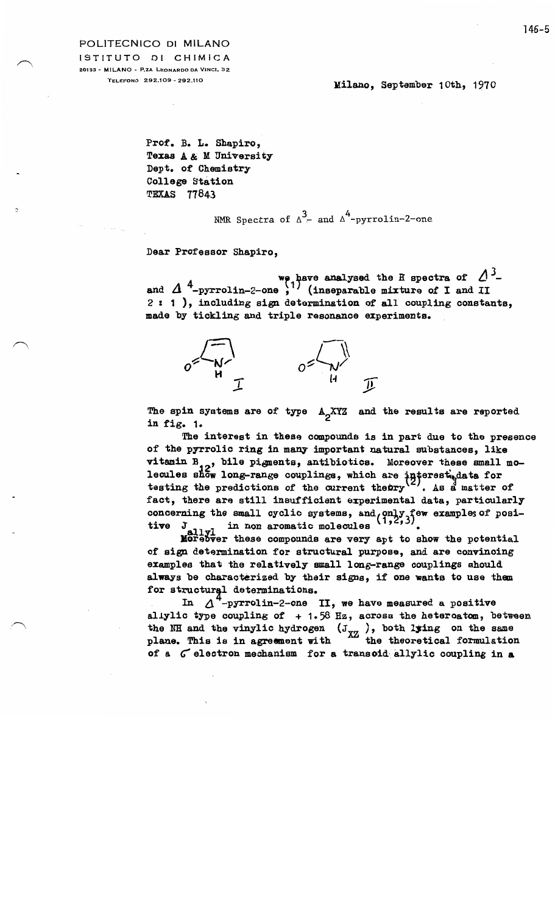### POLITECNICO DI MILANO

# ISTITUTO DI CHIMICA

<sup>201</sup> <sup>3</sup> 3 • MILANO • P.ZA LEONARDO DA VINCI, 32 TELEFONO 292.109 • 292.110

Prof. *B.* L. **Shapiro, Texas A** & M University Dept. of Chemistry **College Station**  TEXAS 77843

NMR Spectra of  $\Delta^3$ - and  $\Delta^4$ -pyrrolin-2-one

Dear Professor Shapiro,

we have analysed the H spectra of  $\Lambda^3$ -<br> $^{4}$ -pyrrolin-2-one (1) (inseparable mixture of L and II and  $\Delta$ <sup>4</sup>-pyrrolin-2-one,<sup>1)</sup> (inseparable mixture of I and II 2: 1 ), including sign determination of all coupling constants, made by tickling and triple resonance experiments.



 $\frac{H}{I}$   $\frac{H}{I}$   $\frac{H}{I}$   $\frac{H}{I}$   $\frac{H}{I}$  and the results are reported in fig. 1.

The interest in these compounds is in part due to the presence of the pyrrolic ring in many important natural substances, like vitamin  $B_{1,2}$ , bile pigments, antibiotics. Moreover these small molecules show long-range couplings, which are interestigdata for testing the predictions of the current theory<sup>\ $\epsilon$ </sup>. As a matter of fact, there are still insufficient experimental data, particularly concerning the small cyclic systems, and only few examples of posi-<br>time I in non-aromatic molecules  $(1,2,3)$ tive  $J_{\text{align}}$  in non aromatic molecules  $(1, 2, 3)$ .

Moretver these compounds are very apt to show the potential of sign determination for structural purpose, and are convincing examples that the relatively small long-range couplings should always be characterized by their signs, if one **wants** to use them for structural determinations.

In  $\Delta$ <sup>-</sup>-pyrrolin-2-one II, we have measured a positive aliylic type coupling of  $+1.58$  Hz, across the heteroatom, between the NH and the vinylic hydrogen  $(J_{\overline{XZ}})$ , both lying on the same plane. This is in agreement with  $X_2$  the theoretical formulation of a G electron mechanism for a transoid allylic coupling in a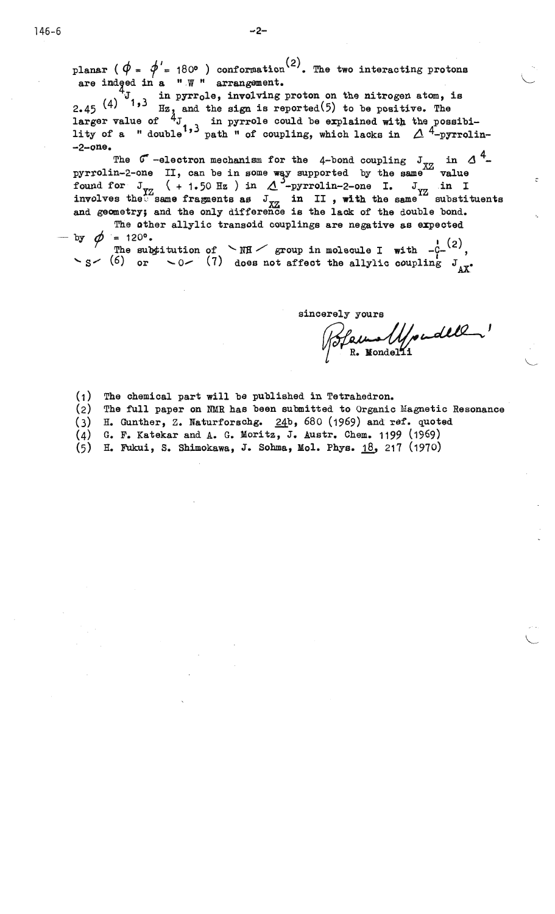planar (  $\phi$  =  $\phi'$  = 180° ) conformation<sup>(2)</sup>. The two interacting protons are indeed in a " $W$ " arrangement.

<sup>4</sup>J<sub>1</sub>, in pyrr<sub>o</sub>le, involving proton on the nitrogen atom, is  $\left(4\right)^{4}$ <sub>1</sub>, 3<sup>H<sub>z</sub><sub>3</sub><sub>2</sub> and the sign is reported<sup>(5</sup>) to be positive. The</sup> larger value of  $^{\,4} {\rm J}$  in pyrrole could be explained with the possibi-<br>lity of a "double<sup>1,3</sup> path " of coupling, which lacks in  $\;$   $\Delta$  <sup>4</sup>-pyrrolin- $-2$ -one.

The  $\sigma$ -electron mechanism for the 4-bond coupling  $J_{XX}$  in  $\Delta$ <sup>4</sup> $pyrrolin-2-one$  II, can be in some way supported by the same  $\sim$  value found for  $J_{\mathbf{v}z}$  ( + 1.50 Hz ) in  $\Delta$  -pyrrolin-2-one I.  $J_{\mathbf{v}z}$  in I involves the same fragments as  $J_{\gamma z}$  in II, with the same  $^{12}$  substituents found for  $J_{\text{YZ}}$  ( + 1.50 Hz ) in  $\Delta$ -pyrrolin-2-one I.  $J_{\text{YZ}}$  in I<br>involves the same fragments as  $J_{\text{XZ}}$  in II, with the same substituents<br>and geometry; and the only difference is the lack of the double bond.

The other allylic transoid couplings are negative as expected<br>- by  $\phi$  = 120°.  $-\text{ by }\phi = 120^{\circ}.$  (2)

The subtitution of  $\sim$  NH  $\sim$  group in molecule I with  $-c^{-(2)}$ ,  $\sim$  s./(6) or  $\sim$  0./(7) does not affect the allylic coupling  $J_{\gamma\gamma}$ .

sincerely yours

Sfame Mondell

-·-....

(1) The chemical part will be published in Tetrahedron.

(2) The full paper on NMR has been submitted to Organic Magnetic Resonance

 $(3)$  H. Gunther, Z. Naturforschg.  $24b$ , 680 (1969) and ref. quoted

(4) G. F. Katekar and A. G. Moritz, J. Austr. Chem. 1199 (1969)

(5) H. Fukui, s. Shimokawa, J. Sohma, Mol. Phys. 1§., 217 ( 1970)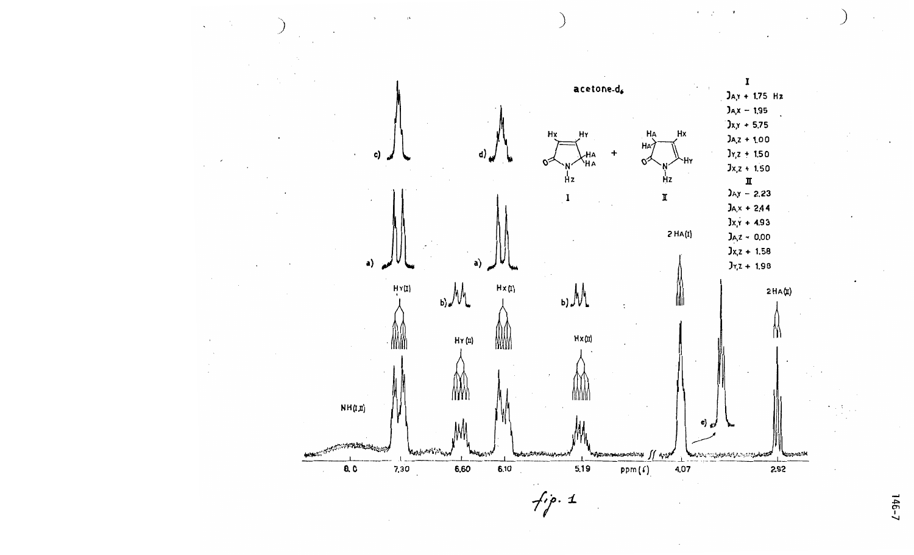

 $146 - 7$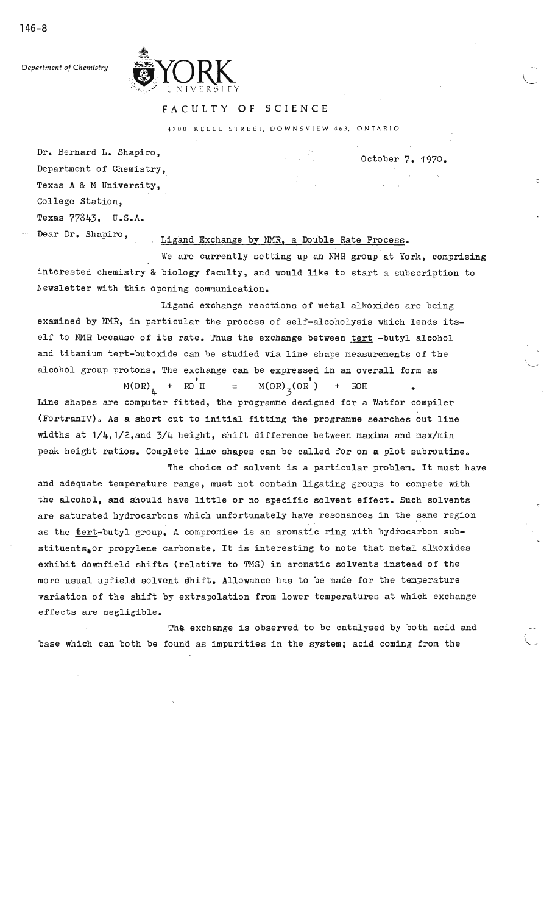*Department of Chemistry* 



### FACULTY OF SCIENCE

4700 KEELE STREET, DOWNSVIEW 463, ONTARIO

October 7. 1970.

L

Dr. Bernard L. Shapiro, Department of Chemistry, Texas A & M University, College Station, Texas 77843, U.S.A.

# Dear Dr. Shapiro, Ligand Exchange by NMR, a Double Rate Process.

We are currently setting up an NMR group at York, comprising interested chemistry & biology faculty, and would like to start a subscription to Newsletter with this opening communication.

Ligand exchange reactions of metal alkoxides are being examined by NMR, in particular the process of self-alcoholysis which lends itself to NMR because of its rate. Thus the exchange between tert -butyl alcohol and titanium tert-butoxide can be studied via line shape measurements of the alcohol group protons. The exchange can be expressed in an overall form as  $M(OR)$  + ROH  $M(OR)$  + ROH  $M(OR)$ 

 $M(OR)$ <sub>z</sub> $(OR)$ Line shapes are computer fitted, the programme designed for a Watfor compiler (FortranIV). As a short cut to initial fitting the programme searches out line widths at  $1/4$ ,  $1/2$ , and  $3/4$  height, shift difference between maxima and max/min peak height ratios. Complete line shapes can be called for on a plot subroutine. The choice of solvent is a particular problem. It must have

and adequate temperature range, must not contain ligating groups to compete with the alcohol, and should have little or no specific solvent effect. Such solvents are saturated hydrocarbons which unfortunately have resonances in the same region as the tert-butyl group. A compromise is an aromatic ring with hydrocarbon substituents.or propylene carbonate. It is interesting to note that metal alkoxides exhibit downfield shifts (relative to TMS) in aromatic solvents instead of the more usual upfield solvent shift. Allowance has to be made for the temperature variation of the shift by extrapolation from lower temperatures at which exchange effects are negligible.

The exchange is observed to be catalysed by both acid and base which can both be found as impurities in the system; acid coming from the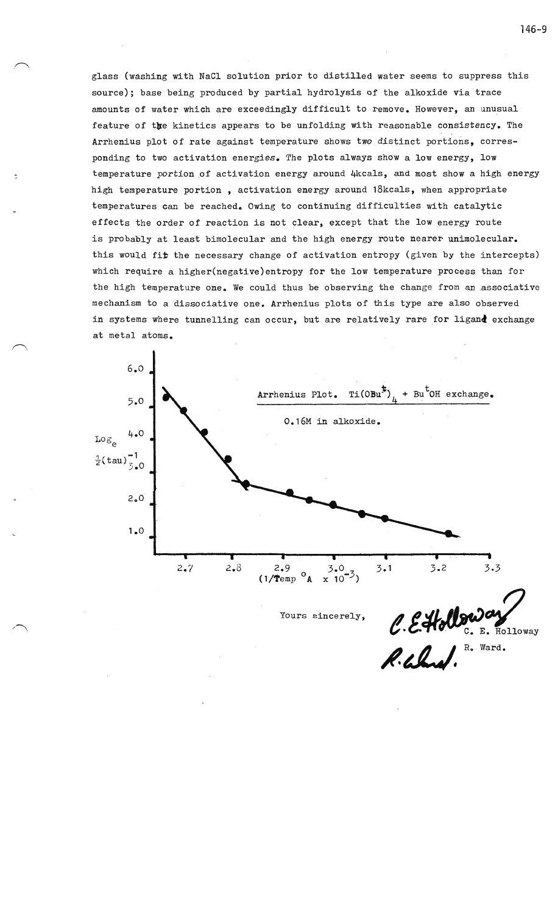glass (washing with NaCl solution prior to distilled water seems to suppress this source); base being produced by partial hydrolysis of the alkoxide via trace amounts of water which are exceedingly difficult to remove. However, an unusual feature of the kinetics appears to be unfolding with reasonable consistency. The Arrhenius plot of rate against temperature shows two distinct portions, corresponding to two activation energies. The plots always show a low energy, low temperature portion of activation energy around 4kcals, and most show a high energy high temperature portion, activation energy around 18kcals, when appropriate temperatures can be reached. Owing to continuing difficulties with catalytic effects the order of reaction is not clear, except that the low energy route is probably at least bimolecular and the high energy route nearer unimolecular. this would fit the necessary change of activation entropy (given by the intercepts) which require a higher(negative)entropy for the low temperature process than for the high temperature one. We could thus be observing the change from an associative mechanism to a dissociative one. Arrhenius plots of this type are also observed in systems where tunnelling can occur, but are relatively rare for ligand exchange at metal atoms.

:



Yours sincerely,

 $e.\epsilon$ Holloway E. Holloway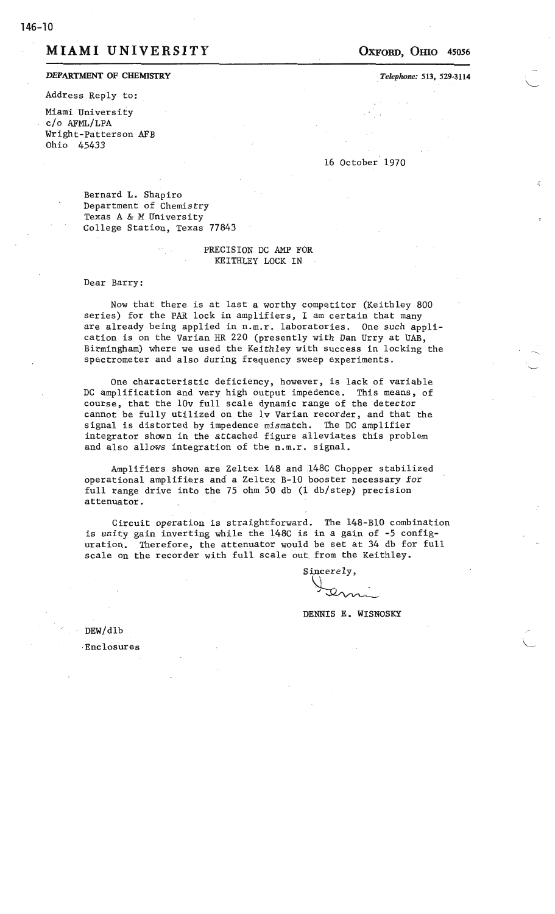# **MIAMI UNIVERSITY OXFORD, OHIO 45056**

### **DEPARTMENT OF CHEMISTRY**

Address Reply to:

Miami University c/o AFML/LPA Wright-Patterson AFB Ohio 45433

*Telephone:* **513, 529-3114** 

j.  $\overline{\phantom{0}}$ 

16 October 1970

Bernard L. Shapiro Department of Chemistry Texas A & M University College Station, Texas 77843

### PRECISION DC AMP FOR KEITHLEY LOCK IN

#### Dear Barry:

Now that there is at last a worthy competitor (Keithley 800 series) for the PAR lock in amplifiers, I am certain that many are already being applied in n.m.r. laboratories. One such application is on the Varian HR 220 (presently with Dan Urry at UAB, Birmingham) where we used the Keithley with success in locking the spectrometer and also during frequency sweep experiments.

One characteristic deficiency, however, is lack of variable DC amplification and very high output impedence. This means, of course, that the 10v full scale dynamic range of the detector cannot be fully utilized on the lv Varian recorder, and that the signal is distorted by impedence mismatch. The DC amplifier integrator shown ih the attached figure alleviates this problem and also allows integration of the n.m.r. signal.

Amplifiers shown are Zeltex 148 and 148C Chopper stabilized operational amplifiers and a Zeltex B-10 booster necessary for full range drive into the 75  $ohm$  50 db (1 db/step) precision attenuator.

Circuit operation is straightforward. The 148-BlO combination is unity gain inverting while the 148C is in a gain of -5 configuration. Therefore, the attenuator would be set at 34 db for full scale on the recorder with full scale out from the Keithley.

Sincerely, ncereix,

**DENNIS** E. **WISNOSKY** 

**DEW/dlb**  · **Enclosures**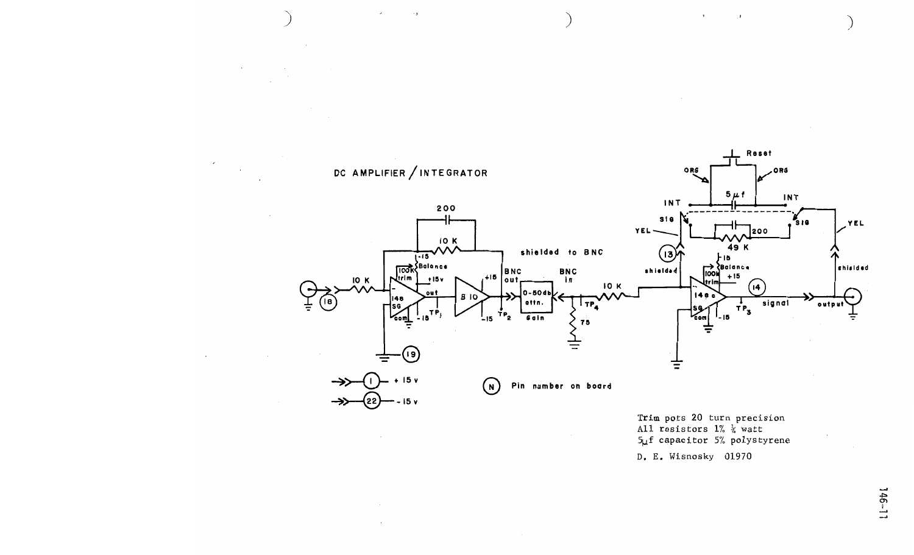

 $\cdot$  ,

 $\mathcal{L}$ 

Trim pots 20 turn precision<br>All resistors 1%  $\frac{1}{4}$  watt<br>5µf capacitor 5% polystyrene

 $\pmb{\mathsf{s}}$ 

D. E. Wisnosky 01970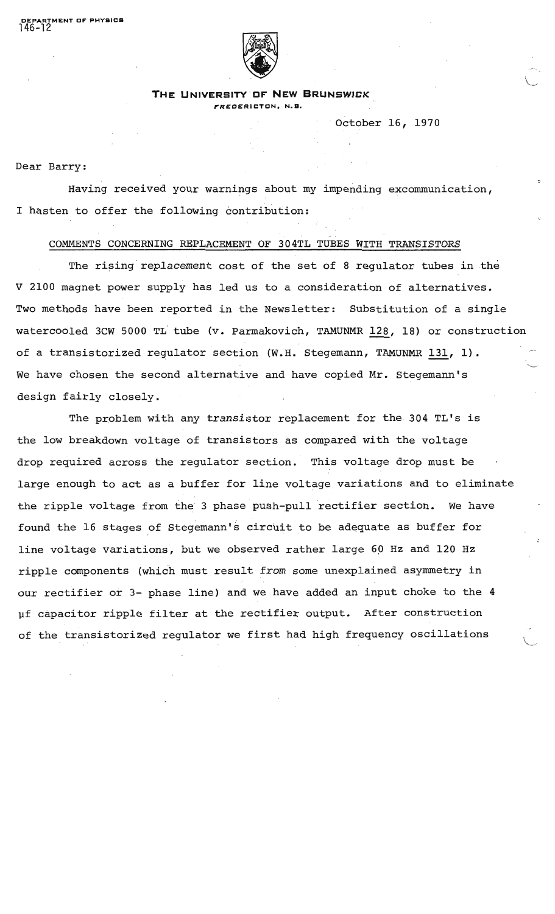

### **THE UNIVERSITY OF NEW BRUNSWICK F'RECERICTCN, N.B.**

October 16, 1970

Dear Barry:

Having received your warnings about my impending excommunication, I hasten to offer the following contribution:

### **COMMENTS CONCERNING REPLACEMENT OF 304TL TUBES WITH TRANSISTORS**

The rising replacement cost of the set of 8 regulator tubes in the V 2100 magnet power supply has led us to a consideration of alternatives. Two methods have been reported in the Newsletter: Substitution of a single watercooled 3CW 5000 TL tube (v. Parmakovich, TAMUNMR 128, 18) or construction of a transistorized regulator section (W.H. Stegemann, TAMUNMR 131, 1). We have chosen the second alternative and have copied Mr. Stegemann's design fairly closely.

The problem with any transistor replacement for the 304 TL's is the low breakdown voltage of transistors as compared with the voltage drop required across the regulator section. This voltage drop must be large enough to act as a buffer for line voltage variations and to eliminate the ripple voltage from the 3 phase push-pull rectifier section. We have found the 16 stages of Stegemann's circuit to be adequate as buffer for line voltage variations, but we observed rather large 69 Hz and 120 Hz ripple components (which must result from some unexplained asymmetry in our rectifier or 3- phase line) and we have added an input choke to the 4 µf capacitor ripple filter at the rectifier output. After construction of the transistorized regulator we first had high frequency oscillations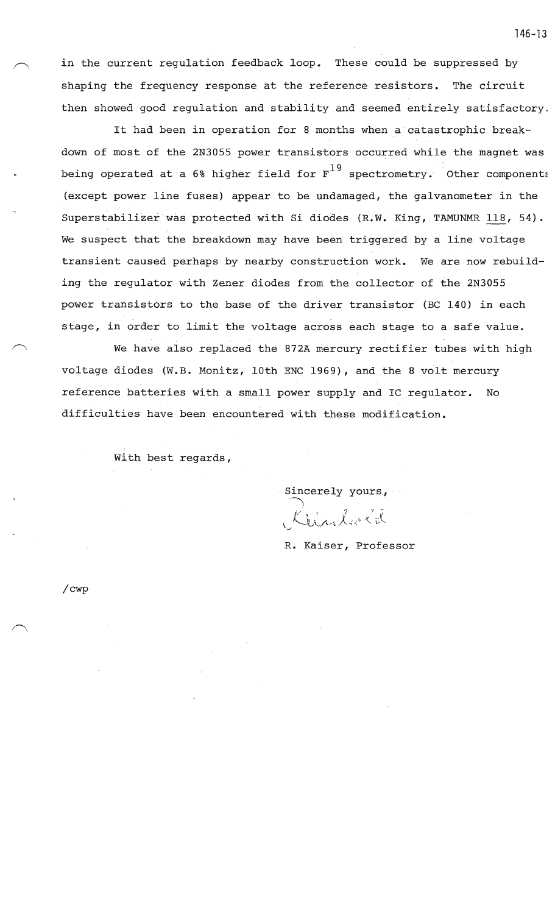in the current regulation feedback loop. These could be suppressed by shaping the frequency response at the reference resistors. The circuit then showed good regulation and stability and seemed entirely satisfactory.

It had been in operation for 8 months when a catastrophic breakdown of most of the 2N3055 power transistors occurred while the magnet was being operated at a 6% higher field for  $F^{19}$  spectrometry. Other components (except power line fuses) appear to be undamaged, the galvanometer in the Superstabilizer was protected with Si diodes (R.W. King, TAMUNMR 118, 54). We suspect that the breakdown may have been triggered by a line voltage transient caused perhaps by nearby construction work. We are now rebuilding the regulator with Zener diodes from the collector of the 2N3055 power transistors to the base of the driver transistor (BC 140) in each stage, in order to limit the voltage across each stage to a safe value.

We have also replaced the 872A mercury rectifier tubes with high voltage diodes (W.B. Menitz, 10th ENC 1969), and the 8 volt mercury reference batteries with a small power supply and IC regulator. No difficulties have been encountered with these modification.

With best regards,

Sincerely yours,

SINC.<br>Clip La La Cil<br>R. Kaiser, Professor

/cwp

146-13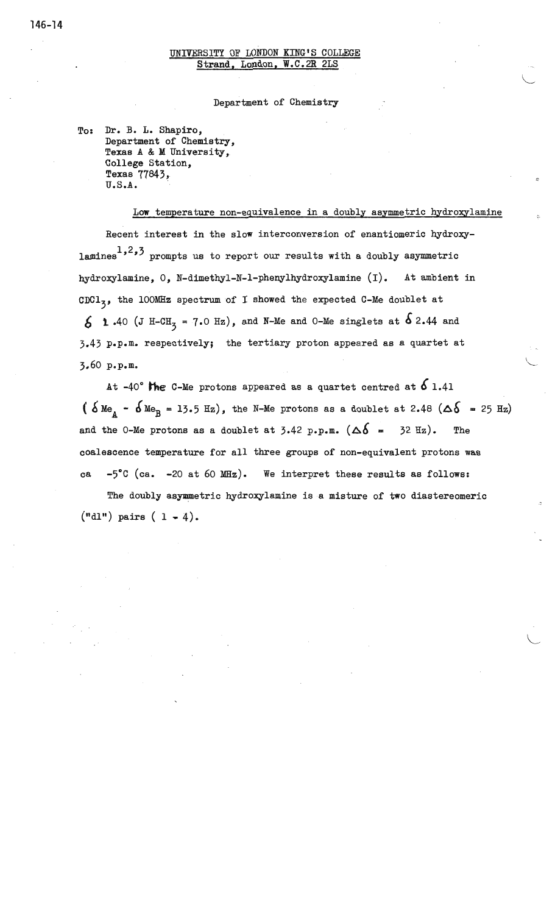### Department of Chemistry

To: Dr. B. L. Shapiro, Department of Chemistry, Texas A & M University, College Station, Texas 77843, U.S.A. .

Low temperature non-equivalence in a doubly asymmetric hydroxylamine

Recent interest in the slow interconversion of enantiomeric hydroxylamines<sup>1,2,3</sup> prompts us to report our results with a doubly asymmetric hydro:xylamine, O, N-dimethyl-N-1-phenylhydroxylamine (I). At ambient in CDC1<sub>3</sub>, the 100MHz spectrum of I showed the expected C-Me doublet at **6 1.40 (J H-CH<sub>3</sub> = 7.0 Hz), and N-Me and O-Me singlets at**  $\delta$  **2.44 and** 3.43 p.p.m. respectively; the tertiary proton appeared as a quartet at 3.60 p.p.m.

At  $-40^\circ$  **the** C-Me protons appeared as a quartet centred at  $\delta$  1.41  $(6 \text{ Me}_{\text{A}} - 6 \text{ Me}_{\text{B}} = 13.5 \text{ Hz})$ , the N-Me protons as a doublet at 2.48  $(66 - 25 \text{ Hz})$ and the 0-Me protons as a doublet at  $5.42$  p.p.m.  $(\Delta \delta$  = 32 Hz). The coalescence temperature for all three groups of non-equivalent protons was ca  $-5^{\circ}$ C (ca.  $-20$  at 60 MHz). We interpret these results as follows:

The doubly asymmetric hydroxylamine is a misture of two diastereomeric  $("dl")$  pairs  $(1 - 4)$ .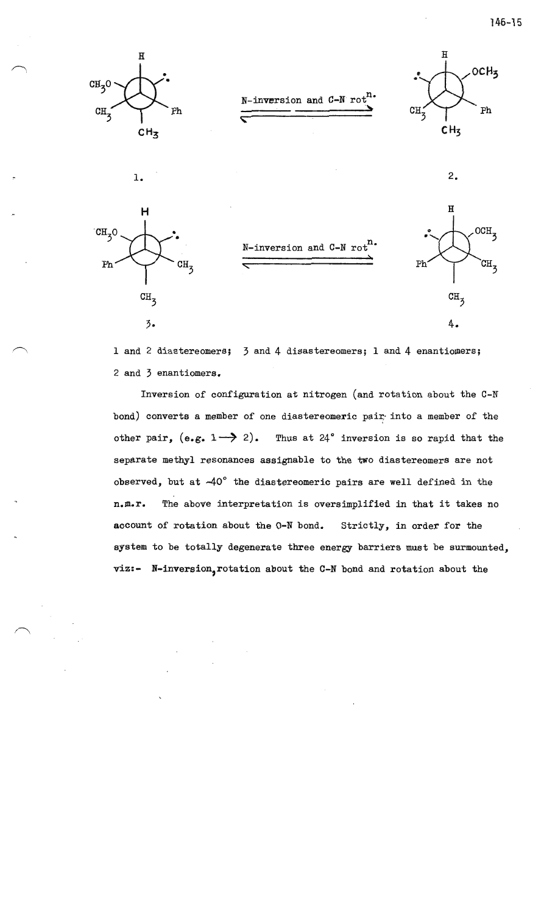





1 and 2 diastereomers; 3 and 4 disastereomers; 1 and 4 enantiomers; 2 and 3 enantiomers.

Inversion of configuration at nitrogen (and rotation about the C-N bond) converts a member of one diastereomeric pair into a member of the other pair,  $(e.g. 1 \rightarrow 2)$ . Thus at 24° inversion is so rapid that the separate methyl resonances assignable to the two diastereomers are not observed, but at -40° the diastereomeric pairs are well defined in the n.m.r. The above interpretation is oversimplified in that it takes no account of rotation about the 0-N bond. Strictly, in order for the system to be totally degenerate three energy barriers must be surmounted, viz:- N-inversion, rotation about the C-N bond and rotation about the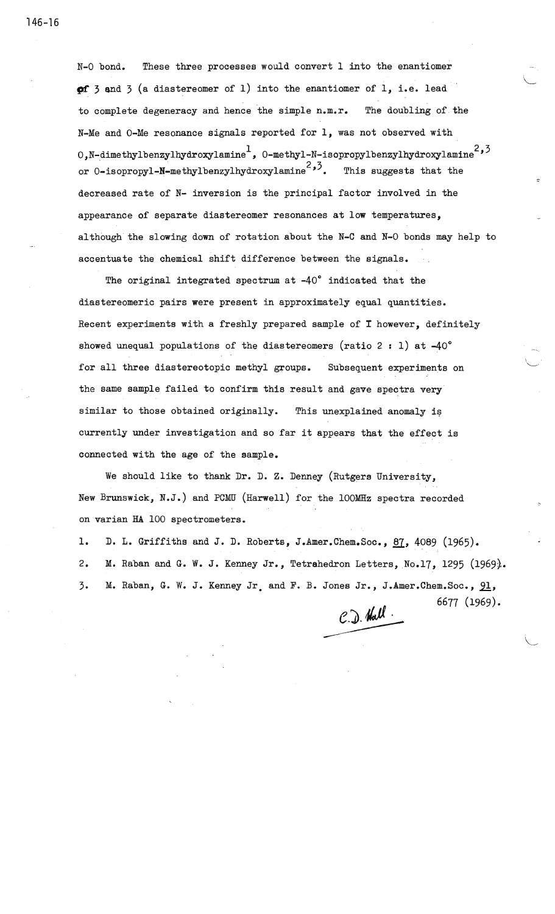146-16

N-0 bond. These three processes would convert 1 into the enantiomer **of** 3 and 3 (a diastereomer of 1) into the enantiomer of 1, i.e. lead to complete degeneracy and hence the simple n.m.r. The doubling of the N-Me and 0-Me resonance signals reported for 1, was not observed with 0,N-dimethylbenzylhydroxylamine<sup>1</sup>, 0-methyl-N-isopropylbenzylhydroxylamine<sup>2,3</sup> or 0-isopropyl-N-methylbenzylhydroxylamine<sup>2,3</sup>. This suggests that the decreased rate of N- inversion is the principal factor involved in the appearance of separate diastereomer resonances at low temperatures, although the slowing down of rotation about the N-C and N-0 bonds may help to accentuate the chemical shift difference between the signals.

The original integrated spectrum at  $-40^{\circ}$  indicated that the diastereomeric pairs were present in approximately equal quantities. Recent experiments with a freshly prepared sample of I however, definitely showed unequal populations of the diastereomers (ratio 2: 1) at  $-40^{\circ}$ for all three diastereotopic methyl groups. Subsequent experiments on the same sample failed to confirm this result and gave spectra very similar to those obtained originally. This unexplained anomaly is currently under investigation and so far it appears that the effect is connected with the age of the sample.

We should like to thank Dr. D. Z. Denney (Rutgers University. New Brunswick, N.J.) and PCMU (Harwell) for the 100MHz spectra recorded on varian HA 100 spectrometers.

1. D. L. Griffiths and J. D. Roberts, J.Amer.Chem.Soc., 87, 4089 (1965). 2. M. Raban and G. W. J. Kenney Jr., Tetrahedron Letters, No.17, 1295 (1969).  $\mathfrak{Z}.$  M. Raban, G. W. J. Kenney Jr. and F. B. Jones Jr., J.Amer.Chem.Soc.,  $91$ , 6677 (1969).

C.D. Hall.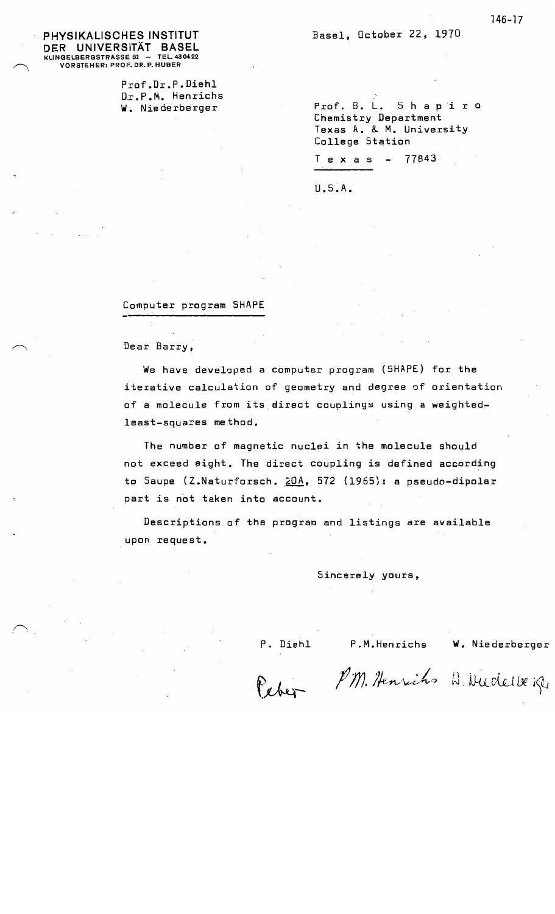### PHYSIKALISCHES INSTITUT DER UNIVERSITAT BASEL KLINGELBERGSTRASSE 82 - TEL. 4304 22 VORSTEHER: PROF. **DR, P.** HUBER

Prof.Dr.P.Diehl Dx.P.M. Henrichs **W.** Niederberger

Prof. B. L. 5 h a p i r o Chemistry Department Texas A. & M. University College Station

 $T e x a s - 77843$ 

u.s~A.

### Computer program SHAPE

Dear Barry,

 $\bigcap$ 

We have developed a computer program (SHAPE) for the iterative calculation of geometry and degree of orientation of a molecule from its direct couplings using a weightedleast-squares method.

The number of magnetic nuclei in the molecule should not exceed eight. The direct coupling is defined according to Saupe (Z.Naturforsch. 20A, 572 (1965): a pseudo-dipolar part is not taken into account.

Descriptions of the program and listings are available upon request.

### Sincerely yours,

P.M. Henrichs W. Dudelle ge

P. Diehl P.M.Henrichs **W.** Niederberger

146-17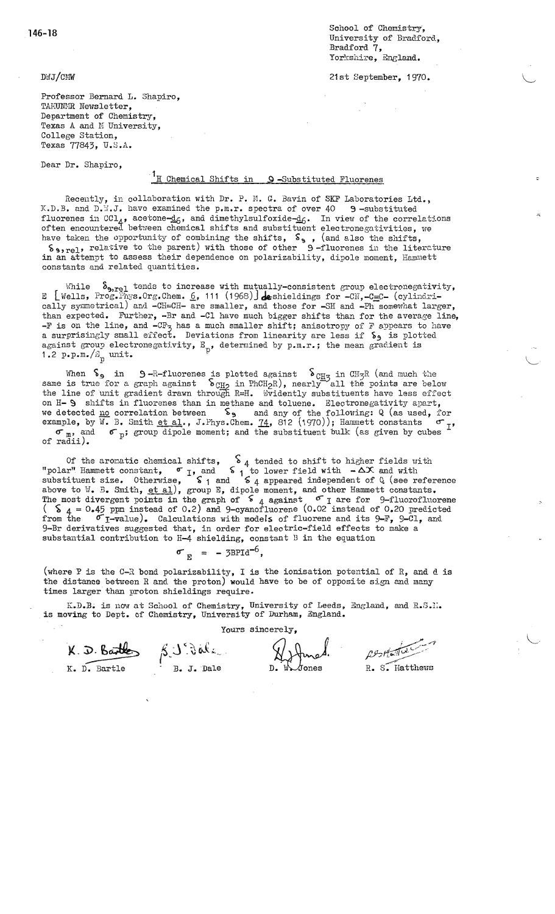, **146-18** 

School of Chemistry, University of Bradford, Bradford 7, Yorkshire, England.

21st September, 1970.

DWJ/mm

Professor Bernard L. Shapiro, TAMUNER Newsletter, Department of Chemistry, Texas A and M University, College Station, Texas 77843, U.S.A.

Dear Dr. Shapiro,

# <sup>1</sup>H Chemical Shifts in 9-Substituted Fluorenes

Recently, in collaboration with Dr. P.H. G. Bavin of SKF Laboratories Ltd., K.D.B. and D.W.J. have examined the p.m.r. spectra of over 40 **9**-substituted fluorenes in CC1<sub>4</sub>, acetone- $d_6$ , and dimethylsulfoxide- $d_6$ . In view of the correlations often encountered between chemical shifts and substituent electronegativities, we have taken the opportunity of combining the shifts,  $s_{\text{s}}$ , (and also the shifts,

**8**, rel, relative to the parent) with those of other 9-fluorenes in the literature in an attempt to assess their dependence on polarizability, dipole moment, Hammett constants and related quantities.

While  $\delta_{9,rel}$  tends to increase with mutually-consistent group electronegativity,<br>E [Wells, Prog.Phys.Org.Chem. <u>6</u>, 111 (1968)] **de**shieldings for -CN,-C=C- (cylindrically synnnetrical) and -CH=CH- are smaller, and those for -SH and -Ph somewhat larger, than expected. Further,  $-Br$  and  $-Cl$  have much bigger shifts than for the average line,  $-F$  is on the line, and  $-CF_5$  has a much smaller shift; anisotropy of F appears to have a surprisingly small effect. Deviations from linearity are less if  $\delta_9$  is plotted against group electronegativity,  $E_{n}$ , determined by p.m.r.; the mean gradient is 1.2 p.p.m./ $E_p$  unit.

When  $S_9$  in  $9 - R$ -fluorenes is plotted against  $S_{CH_2}$  in  $CH_{5R}$  (and much the same is true for a graph against  $S_{CH_2}$  in PhCH<sub>2</sub>R), nearly all the points are below the line of unit gradient drawn through R=H. Evidently substituents have less effect on  $H - 9$  shifts in fluorenes than in methane and toluene. Electronegativity apart, we detected no correlation between **s;~** and any of the following: Q (as used, for example, by W. B. Smith et al., J.Phys.Chem. 74, 812 (1970)); Hammett constants  $\sigma_{I}$ ,  $\sigma_m$ , and  $\sigma_p$ ; group dipole moment; and the substituent bulk (as given by cubes of radii).

Of the aromatic chemical shifts,  $S_4$  tended to shift to higher fields with "polar" Hammett constant,  $\sigma_{I}$ , and  $\sigma_{I}$  to lower field with  $-\Delta X$  and with substituent size. Otherwise,  $\sigma_{I}$  and  $\sigma_{A}$  appeared independent of Q (see reference above to  $V_i$ . B. Smith,  $et al$ , group E, dipole moment, and other Hammett constants.</u> The most divergent points in the graph of  $\sim$  4 against  $\sim$  I are for 9-fluorofluorene (  $\delta$   $_4$  = 0.45 ppm instead of 0.2) and 9-cyanofluorene (0.02 instead of 0.20 predicted from the  $\sigma$ <sub>I</sub>-value). Calculations with models of fluorene and its 9-F, 9-Cl, and  $\sigma$ <sub>I</sub>-value). Calculations with models of fluorene and its 9-F, 9-Cl, and 9-Br derivatives suggested that, in order for electric-field effects to make a substantial contribution to H-4 shielding, constant B in the equation

 $\sigma_{\rm E}$  = - 3BPId<sup>-6</sup>,

(where Pis the *C-R* bond polarizability, I is the ionisation potential of R, and dis the distance between R and the proton) would have to be of opposite sign and many times larger than proton shieldings require.

K.D.B. is now at School of Chemistry, University of Leeds, England, and R.S.I.<br>is moving to Dept. of Chemistry, University of Durham, England.

Yours sincerely,

 $K$ . D. Bartles K. D. Bartle

 $\beta J^{\circ}$  de  $\beta$ <br>B. J. Dale D. W. Jones

. *. . .P* **-'l**  *j)f:;~-:* 

L

R. S. Hattheus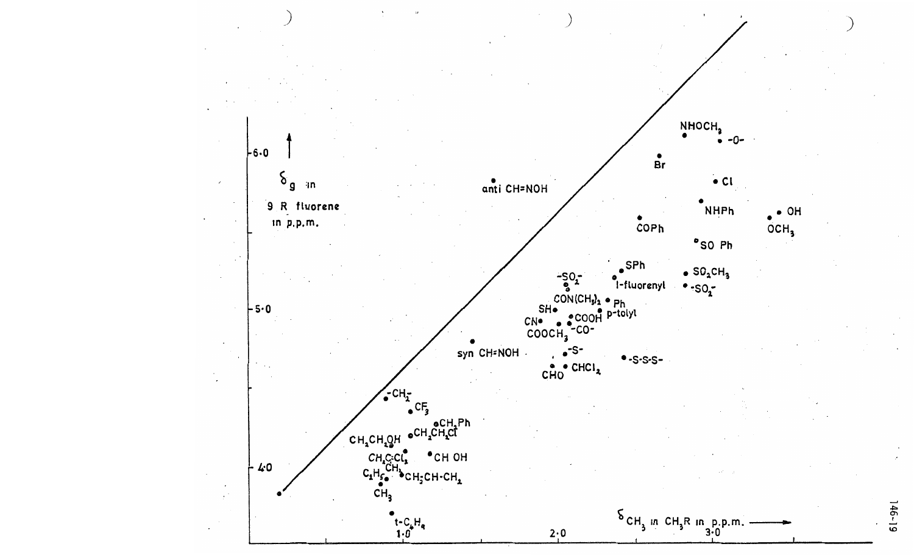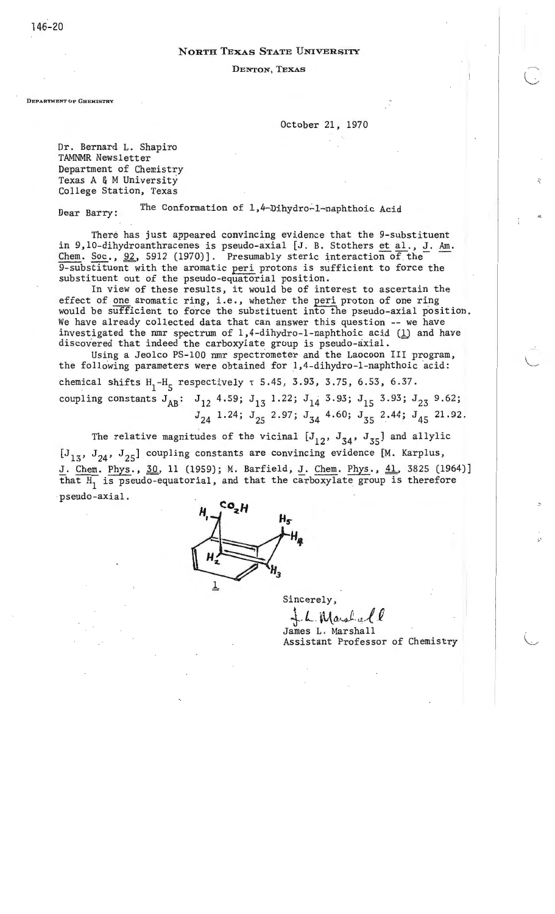### **NORTH TEXAS STATE UNIVERSITY**

**DENTON, TEXAS** 

**DEPARTMENT OP GHEMISTRY** 

October 21, 1970

L

 $\overline{\mathcal{L}}$ 

Dr. Bernard L. Shapiro TAMNMR Newsletter Department of Chemistry Texas A & M University College Station, Texas

Dear Barry: The Conformation of 1,4-Dihydro-l~naphthoic Acid

There has just appeared convincing evidence that the 9-substituent in 9,10-dihydroanthracenes is pseudo-axial [J. B. Stothers et al., J. Am. Chem. Soc., 92, 5912 (1970)]. Presumably steric interaction of the 9-substituent with the aromatic peri protons is sufficient to force the substituent out of the pseudo-equatorial position.

In view of these results, it would be of interest to ascertain the effect of one aromatic ring, i.e., whether the peri proton of one ring would be sufficient to force the substituent into the pseudo-axial position. We have already collected data that can answer this question -- we have investigated the nmr spectrum of  $1,4$ -dihydro-1-naphthoic acid  $(1)$  and have discovered that indeed the carboxylate group is pseudo-axial.

Using a Jeolco PS-100 nmr spectrometer and the Laocoon III program, the following parameters were obtained for 1,4-dihydro-l-naphthoic acid: chemical shifts  $H_1-H_5$  respectively  $\tau$  5.45, 3.93, 3.75, 6.53, 6.37. coupling constants  $J_{AR}$ :  $J_{12}$  4.59;  $J_{13}$  1.22;  $J_{14}$  3.93;  $J_{15}$  3.93;  $J_{23}$  9.62;  $J_{24}$  1.24;  $J_{25}$  2.97;  $J_{34}$  4.60;  $J_{35}$  2.44;  $J_{45}$  21.92.

The relative magnitudes of the vicinal  $[J_{12}, J_{34}, J_{35}]$  and allylic  $[J_{13}, J_{24}, J_{25}]$  coupling constants are convincing evidence [M. Karplus, J. Chem. Phys., 30, 11 (1959); M. Barfield, J. Chem. Phys., 41, 3825 (1964)] that  $H_1$  is pseudo-equatorial, and that the carboxylate group is therefore pseudo-axial.



Sincerely,

 $L$  Marshall James L. Marshall Assistant Professor of Chemistry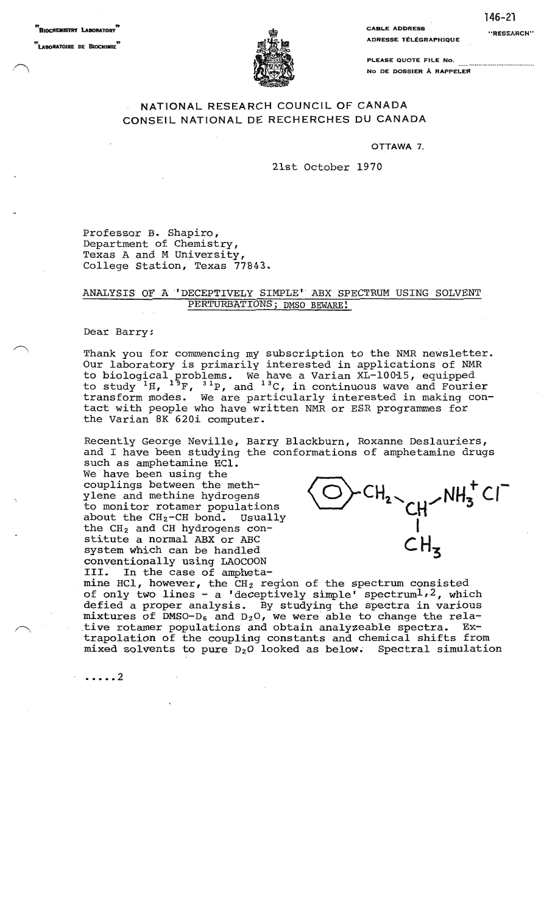ff ,, **l..ABORATOIRE** DE **BIOCHIIIIE** 



ADRESSE TELEGRAPHIQUE

146-21

"RESEARCH"

PLEASE QUOTE FILE No. No DE DOSSIER A RAPPELER

# **NATIONAL RESEARCH** COUNCIL OF **CANADA CONSEIL NATIONAL** DE RECHERCHES DU **CANADA**

### **OTTAWA** 7.

21st October 1970

Professor B. Shapiro, Department of Chemistry, Texas A and M University, College Station, Texas 77843.

### ANALYSIS OF A 'DECEPTIVELY SIMPLE' ABX SPECTRUM USING SOLVENT PERTURBATIONS; DMSO BEWARE!

### Dear Barry:

Thank you for commencing my subscription to the NMR newsletter. Our laboratory is primarily interested in applications of NMR to biological problems. We have a Varian XL-10015, equipped to study  $1_H$ ,  $1\frac{1}{9}F$ ,  $3\frac{1}{9}F$ , and  $1\frac{3}{9}C$ , in continuous wave and Fourier transform modes. We are particularly interested in making contact with people who have written NMR or ESR programmes for the Varian 8K 620i computer.

Recently George Neville, Barry Blackburn, Roxanne Deslauriers, and I have been studying the conformations of amphetamine drugs such as amphetamine HCl.

We have been using the couplings between the methylene and methine hydrogens to monitor rotamer populations about the  $CH_2$ -CH bond. Usually the  $CH<sub>2</sub>$  and CH hydrogens constitute a normal ABX or ABC system which can be handled conventionally using LAOCOON III. In the case of ampheta-



mine HCl, however, the  $CH_2$  region of the spectrum consisted of only two lines - a 'deceptively simple' spectrum<sup>1,2</sup>, which defied a proper analysis. By studying the spectra in various mixtures of DMSO-D<sub>6</sub> and D<sub>2</sub>O, we were able to change the relative rotamer populations and obtain analyzeable spectra. Extrapolation of the coupling constants and chemical shifts from mixed solvents to pure  $D_2O$  looked as below. Spectral simulation

• • • • • 2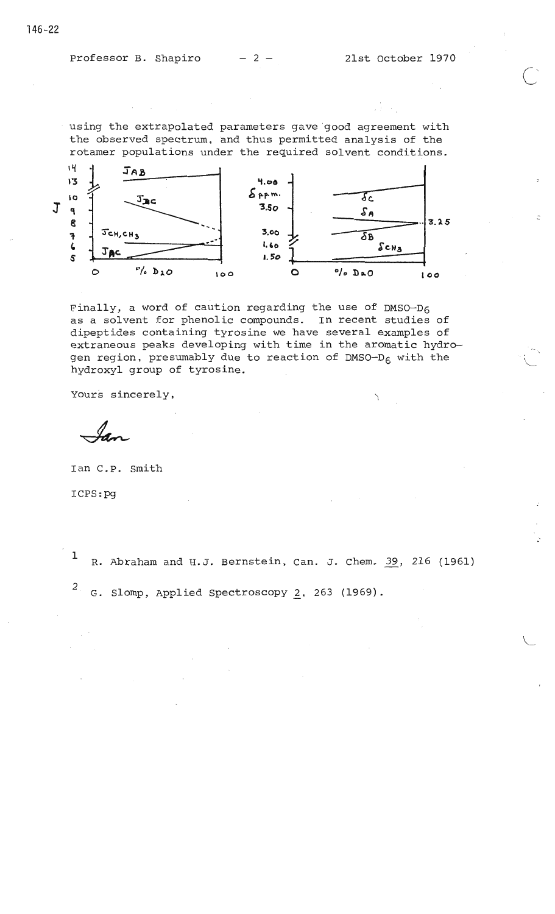Professor B. Shapiro  $-2$   $-$  21st October 1970

:::

using the extrapolated parameters gave good agreement with the observed spectrum, and thus permitted analysis of the rotamer populations under the required solvent conditions.



Finally, a word of caution regarding the use of DMSO-D6 as a solvent for phenolic compounds. In recent studies of dipeptides containing tyrosine we have several examples of extraneous peaks developing with time in the aromatic hydrogen region, presumably due to reaction of DMSO-D<sub>6</sub> with the hydroxyl group of tyrosine.

Yours sincerely,

Ian C.P. Smith

ICPS:pg

1 R. Abraham and H.J. Bernstein, Can. J. Chem. 39, 216 (1961)

<sup>2</sup>G. Slemp, Applied Spectroscopy *l ,* 263 (1969).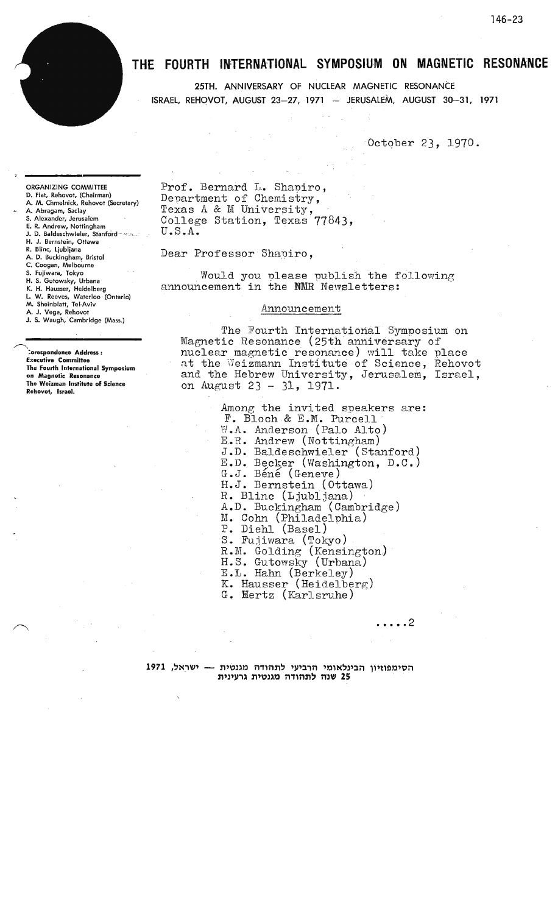

# THE FOURTH INTERNATIONAL SYMPOSIUM ON MAGNETIC RESONANCE

25TH. ANNIVERSARY OF NUCLEAR MAGNETIC RESONANCE ISRAEL, REHOVOT, AUGUST 23-27, 1971 - JERUSALEM, AUGUST 30-31, 1971

October 23, 1970.

ORGANIZING COMMITTEE D. Fiat, Rehovot, (Chairman) A. M. Chmelnick, Rehovot (Secretary) A. Abragam, Saclay S. Alexander, Jerusalem E. R. Andrew, Nottingham J. D. Baldeschwieler, Stanford - - - - ... H. J. Bernstein, Ottawa R. Blinc, Ljubljana A. D. Buckingham, Bristol C. Coogan, Melbourne S. Fujiwara, Tokyo H. S. Gutowsky, Urbana K. H. Hausser, Heidelberg L. W. Reeves, Waterloo (Ontario) M. Sheinblatt, Tel-Aviv A. J. Vega, Rehovot J. S. Waugh, Cambridge (Mass.)

Corespondence Address: **Executive Committee** The Fourth International Symposium on Magnetic Resonance The Weizman Institute of Science Rehovot, Israel.

Prof. Bernard L. Shapiro, Department of Chemistry, Texas A & M University, College Station, Texas 77843,  $U.S.A.$ 

Dear Professor Shapiro,

Would you please publish the following announcement in the NMR Newsletters:

#### Announcement

The Fourth International Symposium on Magnetic Resonance (25th anniversary of nuclear magnetic resonance) will take place at the Weizmann Institute of Science, Rehovot and the Hebrew University, Jerusalem, Israel, on August 23 - 31, 1971.

> Among the invited speakers are: F. Bloch & E.M. Purcell W.A. Anderson (Palo Alto) E.R. Andrew (Nottingham) J.D. Baldeschwieler (Stanford) E.D. Becker (Washington, D.C.)<br>G.J. Bené (Geneve)<br>H.J. Bernstein (Ottawa) R. Blinc (Ljubljana) A.D. Buckingham (Cambridge) M. Cohn (Philadelphia) P. Diehl (Basel) S. Fujiwara (Tokyo)<br>R.M. Golding (Kensington) H.S. Gutowsky (Urbana) E.L. Hahn (Berkeley) K. Hausser (Heidelberg) G. Hertz (Karlsruhe)

> > . . . . 2

הסימפוזיון הבינלאומי הרביעי לתהודה מגנטית - ישראל, 1971 25 שנה לתהודה מגנטית גרעינית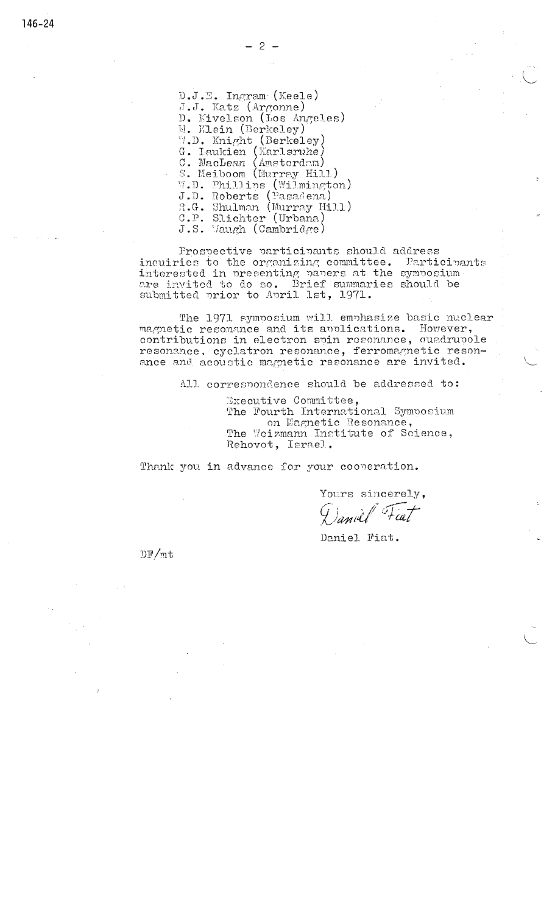$D.J.E.$  Ingram (Keele)  $J.J.$  Katz (Argonne) D. Kivelson (Los Angeles) M. Klein (Berkeley) W.D. Knight (Berkeley) G. Laukien (Karlsruhe) C. MacLean (Amsterdam)<br>S. Meiboom (Murray Hill) W.D. Phillips (Wilmington) J.D. Roberts (Pasadena)<br>R.G. Shulman (Murray Hill) C.P. Slichter (Urbana)

J.S. Waugh (Cambridge)

Prospective participants should address inquiries to the organizing committee. Participants interested in presenting papers at the symposium are invited to do so. Brief summaries should be submitted prior to April 1st, 1971.

The 1971 symposium will emphasize basic nuclear magnetic resonance and its avolications. However, contributions in electron spin resonance, quadrupole resonance, cyclatron resonance, ferromagnetic resonance and acoustic magnetic resonance are invited.

All correspondence should be addressed to:

Executive Committee, The Fourth International Symposium on Magnetic Resonance, The Weizmann Institute of Science, Rehovot, Israel.

Thank you in advance for your cooperation.

Yours sincerely.

Daniel Fiat.

 $DF/mt$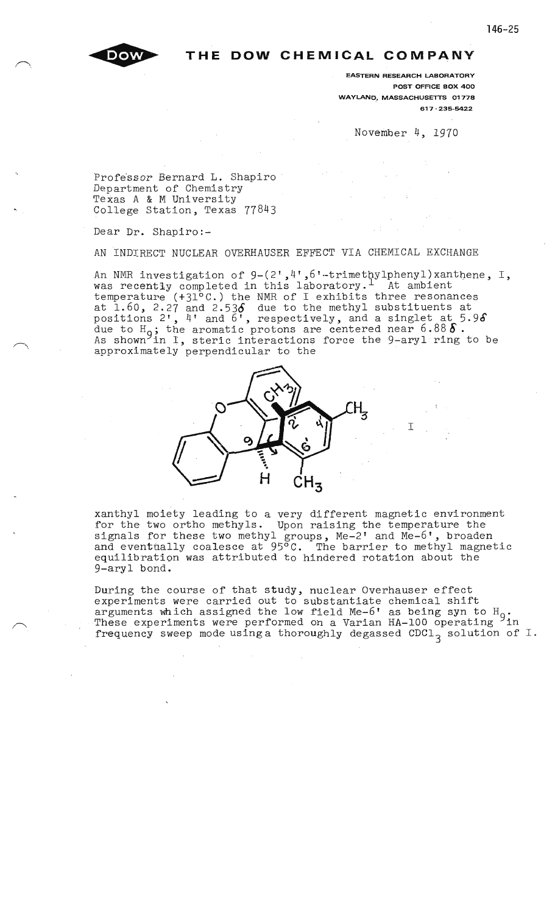

## **THE DOW CHEMICAL COMPANY**

**EASTERN RESEARCH LABORATORY POST OFFICE BOX 400 WAYLAND\_, MASSACHUSETTS 01 77B 617** · **235-5422** 

November 4, 1970

I

Professor Bernard L. Shapiro Department of Chemistry Texas A & M University College Station, Texas 77843

Dear Dr. Shapiro:-

AN INDIRECT NUCLEAR OVERHAUSER EFFECT VIA CHEMICAL EXCHANGE

An NMR investigation of  $9-(2', 4', 6'$ -trimethylphenyl)xanthene, I, was recently completed in this laboratory.<sup>1</sup> At ambient temperature  $(+31^{\circ}C.)$  the NMR of I exhibits three resonances at  $1.60$ , 2.27 and 2.536 due to the methyl substituents at positions  $2^1$ ,  $4^1$  and  $6^1$ , respectively, and a singlet at  $5.96$ due to  $H_9$ ; the aromatic protons are centered near  $6.88 \delta$ .<br>As shown<sup>9</sup>in I, steric interactions force the 9-aryl ring to be approximately perpendicular to the



xanthyl moiety leading to a very different magnetic environment for the two ortho methyls. Upon raising the temperature the signals for these two methyl groups,  $Me-2'$  and  $Me-6'$ , broaden and eventually coalesce at 95°C. The barrier to methyl magnetic equilibration was attributed to hindered rotation about the 9-aryl bond.

During the course of that study, nuclear Overhauser effect experiments were carried out to substantiate chemical shift arguments which assigned the low field Me-6' as being syn to  $H_q$ . argaments which assigned the fow field here as seing syn to ng.<br>These experiments were performed on a Varian HA-100 operating in These experiments were performed on a Varian HA-100 operating 'in<br>frequency sweep mode usinga thoroughly degassed CDC1<sub>3</sub> solution of I.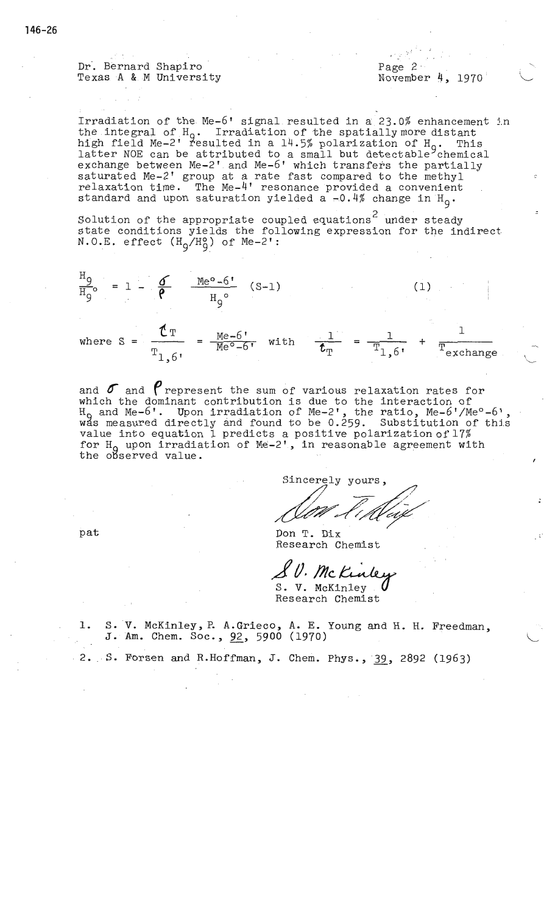Dr. Bernard Shapiro Texas A & M University

Page 2 November 4, 1970

> $\overline{\phantom{a}}$  $\setminus$  , , , ,

Irradiation of the Me-6' signal resulted in a  $23.0\%$  enhancement in the integral of  $H_0$ . Irradiation of the spatially more distant high field Me-2' resulted in a 14.5% polarization of  $H_0$ . This latter NOE can be attributed to a small but detectable<sup>9</sup>chemical exchange between Me-2' and Me-6' which transfers the partially saturated Me-2' group at a rate fast compared to the methyl relaxation time. The Me-4' resonance provided a convenient standard and upon saturation yielded  $a -0.4%$  change in  $H_9$ .

Solution of the appropriate coupled equations<sup>2</sup> under steady state conditions yields the following expression for the indirect N.O.E. effect  $(H_q/H_q^o)$  of Me-2':

 $\frac{H_9}{H_9}$  = 1 -  $\frac{6}{\rho}$   $\frac{Me^{\circ}-6!}{H_9}$  (S-1) (1)  $\frac{1}{\sqrt{2}}$  = Me-6' with  $\frac{1}{\sqrt{2}}$  =  $\frac{1}{\sqrt{2}}$  +  $\frac{1}{\sqrt{2}}$ where  $S = \frac{m}{T} = \frac{me-b}{Me^o-6}$  with  $\frac{1}{t_T} = \frac{1}{T}$  +  $\frac{1}{T}$  exchange

and  $\sigma$  and  $\theta$  represent the sum of various relaxation rates for which the dominant contribution is due to the interaction of  $H_Q$  and Me-6'. Upon irradiation of Me-2', the ratio, Me-6'/Me°-6', was measured directly and found to be 0.259. Substitution of this value into equation 1 predicts a positive polarization of  $17%$ for  $H_q$  upon irradiation of Me-2', in reasonable agreement with the observed value.

Sincerely yours,<br>*Low Hillay* 

Don T. Dix Research Chemist

*I. V. Mc Kinley*<br>S. V. McKinley<br>Research Chemist

1. S. V. McKinley, P. A. Grieco, A. E. Young and H. H. Freedman, J. Am. Chem. Soc.,  $92$ , 5900 (1970)

2. S. Forsen and R.Hoffman, J. Chem. Phys., 39, 2892 (1963)

pat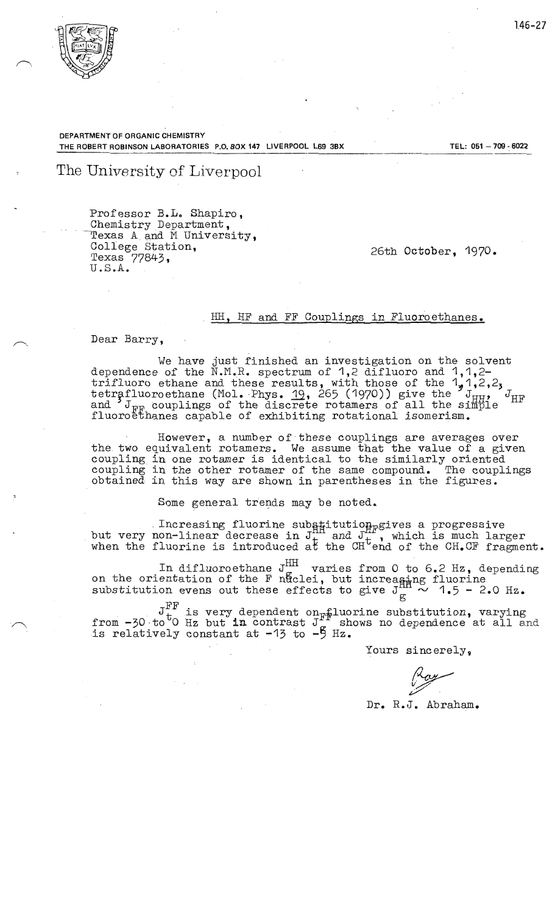

**DEPARTMENT OF ORGANIC CHEMISTRY**  THE **ROBERT ROBINSON LABORATORIES P.O. BOX 147 LIVERPOOL L69 3BX TEL: 051** - **709** - **6022** 

# The University of Liverpool

Professor B.L. Shapiro,<br>Chemistry Department, Texas A and M University, College Station, Texas 77843, U.S.A.

26th October, 1970.

### HH, HF and FF Couplings in Fluoroethanes.

Dear Barry,

We have just finished an investigation on the solvent dependence of the N.M.R. spectrum of  $1,2$  difluoro and  $1,1,2$ trifluoro ethane and these results, with those of the  $1,1,2,2$ tetrafluoroethane (Mol. Phys. 19, 265 (1970)) give the  $J_{\text{HH}}$ ,  $J_{\text{HF}}$ and  $J_{F_F}$  couplings of the discrete rotamers of all the simple fluoroethanes capable of exhibiting rotational isomerism.

However, a number of these couplings are averages over the two equivalent rotamers. We assume that the value of a given coupling in one rotamer is identical to the similarly oriented coupling in the other rotamer of the same compound. The couplings obtained in this way are shown in parentheses in the figures.

Some general trends may be noted.

. Increasing fluorine substitution gives a progressive but very non-linear decrease in  $J_t$  and  $J_t$ , which is much larger when the fluorine is introduced at the CH<sup>t</sup>end of the CH.CF fragment.

In difluoroethane  $J_{\sigma}^{HH}$  varies from 0 to 6.2 Hz, depending on the orientation of the F naclei, but increasing fluorine substitution evens out these effects to give  $J_{g}^{HH} \sim 1.5 - 2.0$  Hz.

J<sup>FF</sup> is very dependent on<sub>F</sub>fluorine substitution, varying from -30 to <sup>t</sup>O Hz but **in** contrast J<sub>*g*</sub> shows no dependence at all and is relatively constant at  $-13$  to  $-5$  Hz.

Yours sincerely,

Ray *y* 

Dr. R.J. Abraham.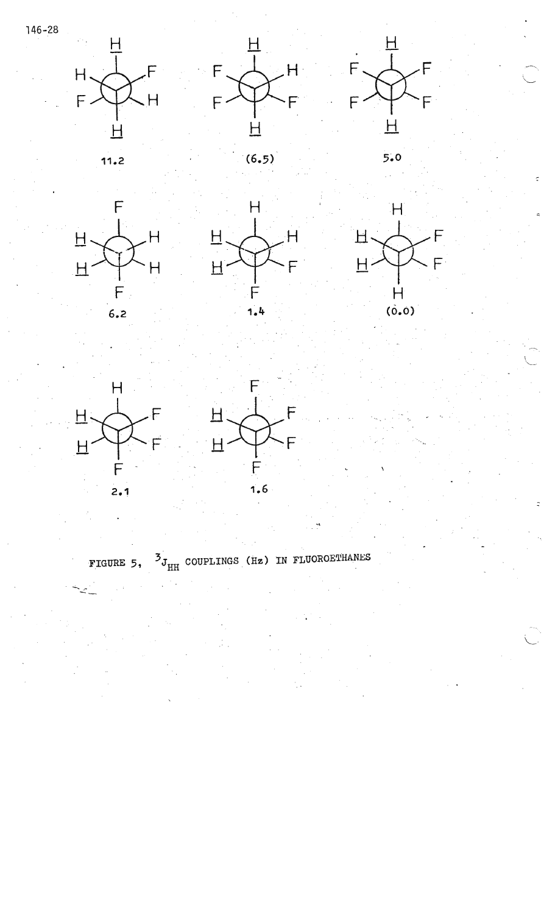

FIGURE 5,  $3J_{\text{HH}}$  COUPLINGS (Hz) IN FLUOROETHANES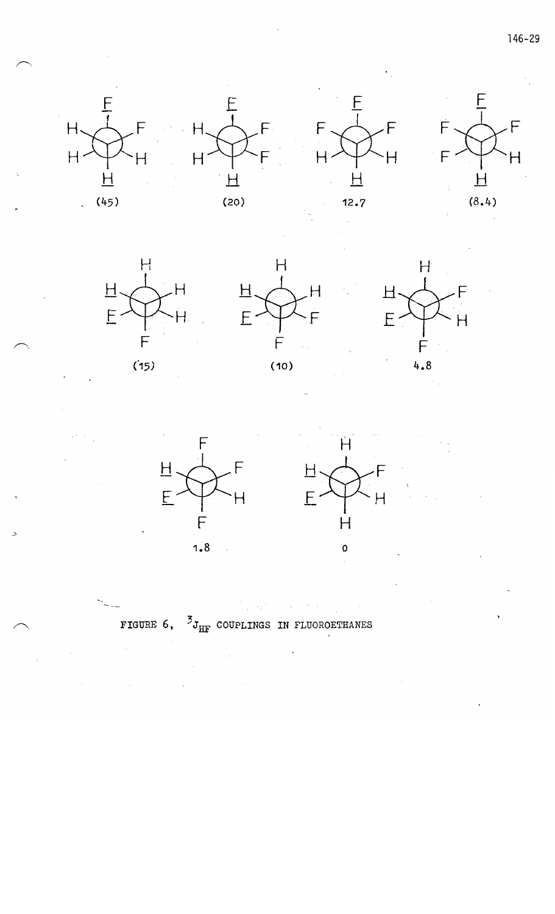









 $\overline{z}$ 











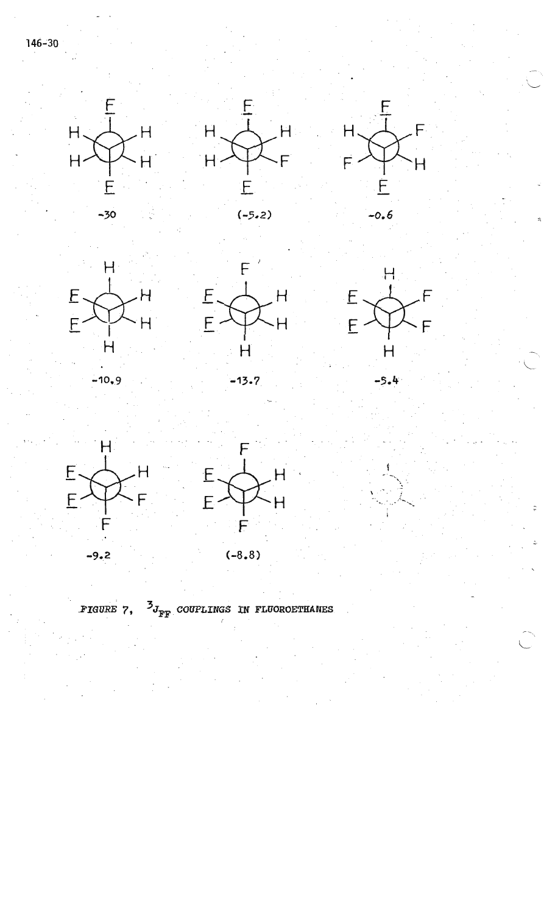$\overline{H}$ 











 $-5.4$ 

 $-0.6$ 

 $F$ 

 $\overline{H}$ 

 $H$ 

F.

 $-10.9$ 



 $\overline{\mathsf{H}}$ 



 $-9.2$ 

 $(-8, 8)$ 

FIGURE 7,  $3J_{FF}$  couplings in FLUOROETHANES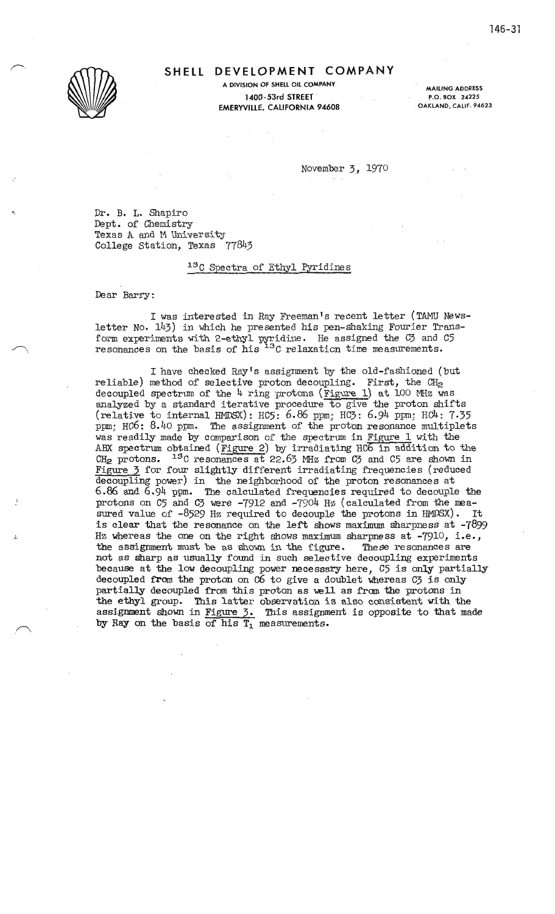$\ddot{\phantom{0}}$ 

## **SHELL DEVELOPMENT COMPANY**

A DIVISION OF SHELL OIL COMPANY. **MAILING ADDRESS** . **1400-53rd STREET** ' **EMERYVILLE, CALIFORNIA 94608** . **. OAKLAN~, CALIF. 94623** 

**p.O. BOX 24225** 

November 3, 1970

Dr. B. L. Shapiro Dept. of Chemistry Texas A and M University College Station, Texas 77843

### 13C Spectra of Ethyl Pyridines

Dear Barry:

I was interested in Ray Freeman's recent letter (TAMU Newsletter No. 143) in which he presented his pen-shaking Fourier Transform experiments with 2-ethyl pyridine. He assigned the C3 and C5 resonances on the basis of his <sup>13</sup>C relaxation time measurements.

I have checked Ray's assignment by the old-fashioned (but reliable) method of selective proton decoupling. First, the CH<sup>2</sup> decoupled spectrum of the  $4$  ring protons (Figure 1) at 100 MHz was analyzed by a standard iterative procedure to give the proton shifts (relative to internal HMDSX): HC5:  $6.86$  ppm; HC3:  $6.94$  ppm; HC4:  $7.35$ ppm; HC6: 8.40 ppm. The assignment of the proton resonance multiplets was readily made by comparison of the spectrum in Figure 1 with the ABX spectrum obtained (Figure 2) by irradiating HC6 in addition to the CH2 protons. 13C resonances at 22.63 MHz from C3 and C5 are shown in Figure 3 for four slightly different irradiating frequencies (reduced decoupling power) in the neighborhood of the proton resonances at 6.86 and 6.94 ppm. The calculated frequencies required to decouple the protons on C5 and C3 were -7912 and -7904 Hz ( calculated from the measured value of -8529 Hz required to decouple the protons in HMDSX). It is clear that the resonance on the left shows maximum sharpness at -7899 Hz whereas the one on the right shows maximum sharpness at  $-7910$ , i.e., the assignment must be as shown in the figure. These resonances are the assignment must be as shown in the figure. not as sharp as usually found in such selective decoupling experiments because at the low decoupling power necessary here, C5 is only partially decoupled from the proton on C6 to give a doublet whereas C3 is only partially decoupled from this proton as well as from the protons in the ethyl group. This latter observation is also consistent with the assignment shown in Figure 3. This assignment is opposite to that made by Ray on the basis of his  $T_1$  measurements.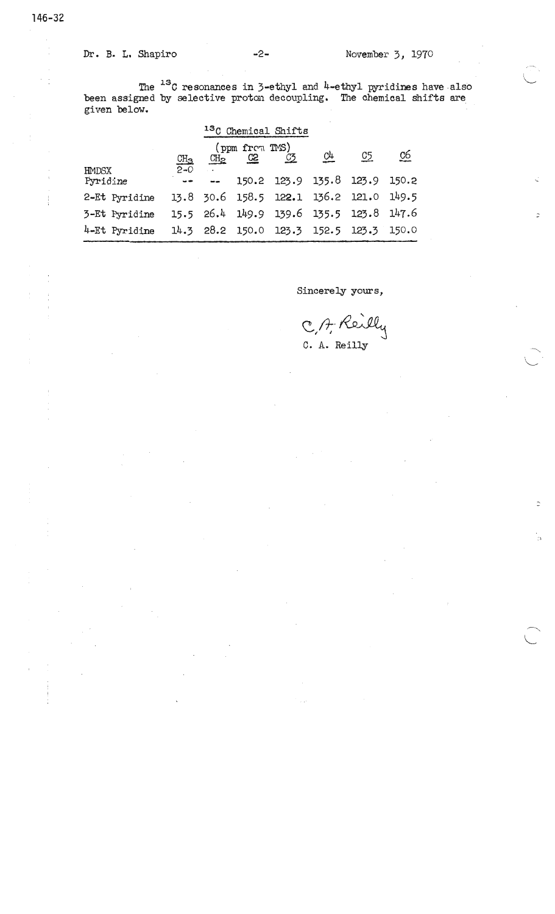Dr. B. L. Shapiro

The  $^{13}$ C resonances in  $3$ -ethyl and  $4$ -ethyl pyridines have also been assigned by selective proton decoupling. The chemical shifts are given below.

|               | <sup>13</sup> C Chemical Shifts  |              |                             |                                         |    |    |    |
|---------------|----------------------------------|--------------|-----------------------------|-----------------------------------------|----|----|----|
| HMDSX         | <u>CH<sub>3</sub></u><br>$2 - 0$ | $\rm CH_{2}$ | (ppm from TMS)<br><u>cs</u> | <u>C3</u>                               | C4 | C5 | C6 |
| Pyridine      |                                  |              |                             | 150.2 123.9 135.8 123.9 150.2           |    |    |    |
| 2-Et Pyridine |                                  |              |                             | 13.8 30.6 158.5 122.1 136.2 121.0 149.5 |    |    |    |
| 3-Et Pyridine |                                  |              |                             | 15.5 26.4 149.9 139.6 135.5 123.8 147.6 |    |    |    |
| 4-Et Pyridine |                                  |              |                             | 14.3 28.2 150.0 123.3 152.5 123.3 150.0 |    |    |    |

Sincerely yours,

C. A. Reilly C. A. Reilly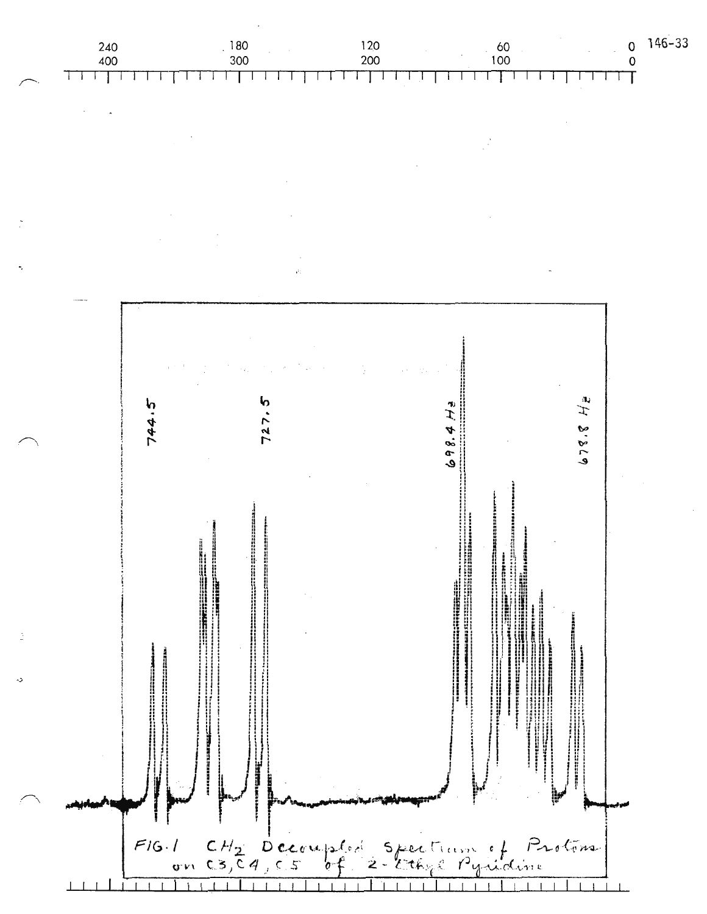

 $146 - 33$ 180<br>300 240<br>400 120<br>200  $\frac{60}{100}$  $\begin{matrix}0\\0\end{matrix}$ Ť T Ť T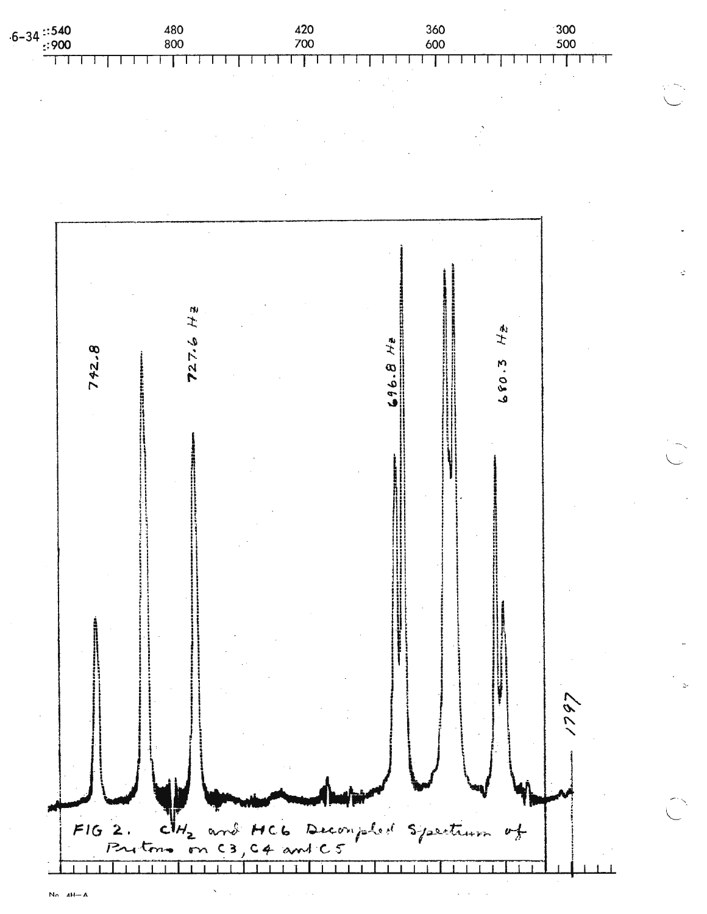

 $N_0$   $A H - A$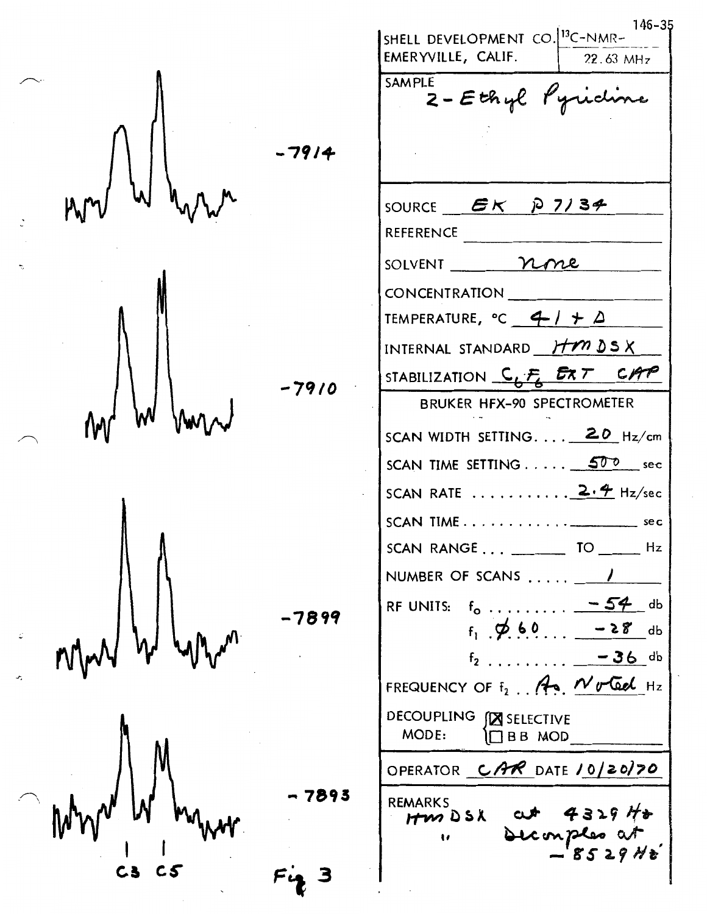| \n <p>WHW</p> \n                                                      | \n <p>WHH</p> \n | \n <p>399</p> \n <p>THE R'VILLE, CALF</p> \n |
|-----------------------------------------------------------------------|------------------|----------------------------------------------|
| \n <p>EMFENVILLE, CALF</p> \n                                         |                  |                                              |
| \n <p>EMFENVILLE, CALF</p> \n                                         |                  |                                              |
| \n <p>EMFERVILLE, CALF</p> \n                                         |                  |                                              |
| \n <p>EMFERVILLE, CALF</p> \n                                         |                  |                                              |
| \n <p>EMFERVILLE, CALF</p> \n                                         |                  |                                              |
| \n <p>SMNIE</p> \n                                                    |                  |                                              |
| \n <p>2- <math display="block">E</math> tA yC P y</p> <i>u</i> cAum\n |                  |                                              |
| \n <p>50LVENT</p> \n                                                  |                  |                                              |
| \n <p>20. H2/m</p> \n                                                 |                  |                                              |
| \n <p>50LVENT</p> \n                                                  |                  |                                              |
| \n <p>50LVENT</p> \n                                                  |                  |                                              |
| \n <p>50LVENT</p> \n                                                  |                  |                                              |
| \n <p>50LVENT</p> \n                                                  |                  |                                              |
| \n <p>50LVENT</p> \n                                                  |                  |                                              |
| \n <p>50LVENT</p> \n                                                  |                  |                                              |
| \n <p>50LVENT</p> \n                                                  |                  |                                              |
| \n <p>50LVENT</p> \n                                                  |                  |                                              |
| \n <p>50LVENT</p> \n                                                  |                  |                                              |
| \n <p>50LVENT</p> \n                                                  |                  |                                              |
| \n <p>50LVENT</p> \n                                                  |                  |                                              |
| \n <p>50L IDENTIR</p> \n                                              |                  |                                              |
| \n <p>50L WITH SETING</p> \n                                          |                  |                                              |
| \n <p>50L</p> \n                                                      |                  |                                              |
| \n <p>50L</p> \n                                                      |                  |                                              |
| \n <p>50L</p> \n                                                      |                  |                                              |
| \n <p>50L</p> \n                                                      |                  |                                              |
| \n <p>50L</p> \n                                                      |                  |                                              |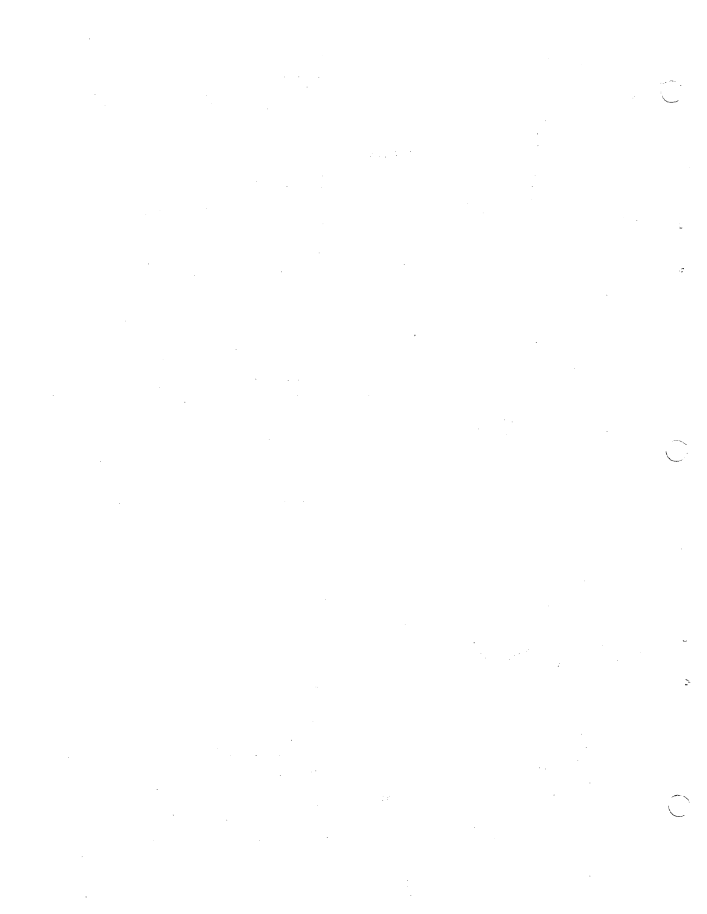$\label{eq:2.1} \mathcal{L}_{\mathcal{A}}(\mathcal{A}) = \mathcal{L}_{\mathcal{A}}(\mathcal{A}) \mathcal{L}_{\mathcal{A}}(\mathcal{A}) = \mathcal{L}_{\mathcal{A}}(\mathcal{A})$ 

 $\label{eq:2.1} \frac{1}{\sqrt{2}}\int_{\mathbb{R}^3}\frac{1}{\sqrt{2}}\left(\frac{1}{\sqrt{2}}\right)^2\frac{1}{\sqrt{2}}\left(\frac{1}{\sqrt{2}}\right)^2\frac{1}{\sqrt{2}}\left(\frac{1}{\sqrt{2}}\right)^2\frac{1}{\sqrt{2}}\left(\frac{1}{\sqrt{2}}\right)^2\frac{1}{\sqrt{2}}\left(\frac{1}{\sqrt{2}}\right)^2\frac{1}{\sqrt{2}}\frac{1}{\sqrt{2}}\frac{1}{\sqrt{2}}\frac{1}{\sqrt{2}}\frac{1}{\sqrt{2}}\frac{1}{\sqrt{2}}$ 

 $\label{eq:2.1} \frac{1}{\sqrt{2}}\int_{\mathbb{R}^3}\frac{1}{\sqrt{2}}\left(\frac{1}{\sqrt{2}}\int_{\mathbb{R}^3}\frac{1}{\sqrt{2}}\left(\frac{1}{\sqrt{2}}\int_{\mathbb{R}^3}\frac{1}{\sqrt{2}}\left(\frac{1}{\sqrt{2}}\int_{\mathbb{R}^3}\frac{1}{\sqrt{2}}\right)\frac{1}{\sqrt{2}}\right)\frac{1}{\sqrt{2}}\right)=\frac{1}{2}\int_{\mathbb{R}^3}\frac{1}{\sqrt{2}}\int_{\mathbb{R}^3}\frac{1}{\sqrt{2}}\left(\frac{1$ 

 $\label{eq:2} \begin{split} \mathcal{F}^{(1)}_{\text{max}}(\mathbf{r}) = \mathcal{F}^{(1)}_{\text{max}}(\mathbf{r}) \end{split}$  $\label{eq:2} \mathcal{L}(\mathcal{A}) = \frac{1}{2} \sum_{i=1}^n \frac{1}{2} \sum_{j=1}^n \frac{1}{2} \sum_{j=1}^n \frac{1}{2} \sum_{j=1}^n \frac{1}{2} \sum_{j=1}^n \frac{1}{2} \sum_{j=1}^n \frac{1}{2} \sum_{j=1}^n \frac{1}{2} \sum_{j=1}^n \frac{1}{2} \sum_{j=1}^n \frac{1}{2} \sum_{j=1}^n \frac{1}{2} \sum_{j=1}^n \frac{1}{2} \sum_{j=1}^n \frac{1}{2} \$ 

 $\label{eq:2.1} \mathcal{L}_{\mathcal{A}}(\mathcal{A})=\mathcal{L}_{\mathcal{A}}(\mathcal{A})\otimes\mathcal{L}_{\mathcal{A}}(\mathcal{A}).$ 

 $\label{eq:2.1} \frac{1}{\sqrt{2}}\int_{\mathbb{R}^3}\frac{1}{\sqrt{2}}\left(\frac{1}{\sqrt{2}}\right)^2\frac{1}{\sqrt{2}}\left(\frac{1}{\sqrt{2}}\right)^2\frac{1}{\sqrt{2}}\left(\frac{1}{\sqrt{2}}\right)^2.$  $\label{eq:2} \begin{split} \mathcal{L}_{\text{max}}(\mathcal{L}_{\text{max}}) = \mathcal{L}_{\text{max}}(\mathcal{L}_{\text{max}}) \end{split}$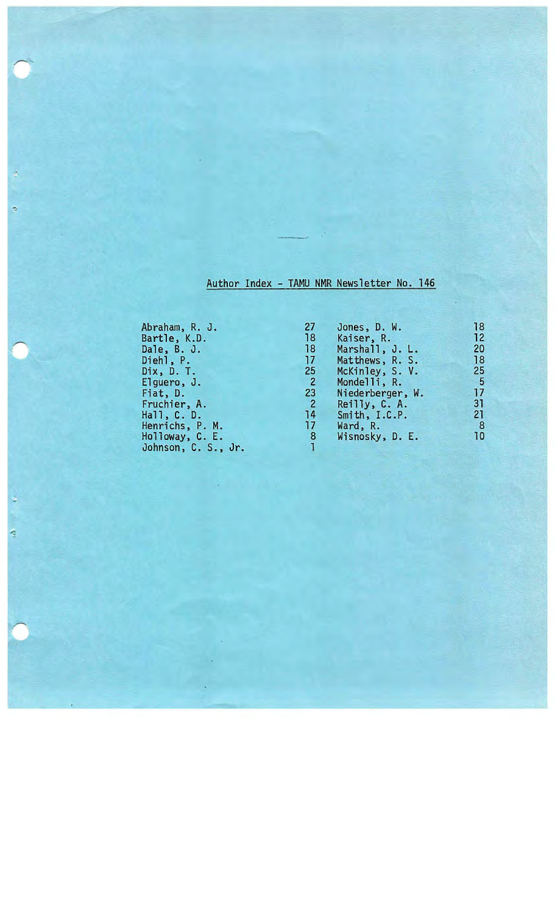# Author Index - TAMU NMR Newsletter No. 146

Johnson, C. S., Jr. 1

à

 $\phi$ 

 $\tilde{\mathcal{L}}$ 

| Abraham, R. J.                                                                                                  | 27              | Jones, D. W.     | 18              |
|-----------------------------------------------------------------------------------------------------------------|-----------------|------------------|-----------------|
| Bartle, K.D.                                                                                                    | 18              | Kaiser, R.       | 12 <sup>2</sup> |
| Dale, B. J.                                                                                                     | 18              | Marshall, J. L.  | 20              |
| Diehl, P.                                                                                                       | 17              | Matthews, R. S.  | 18              |
| Dix, D. T.                                                                                                      | 25 <sub>2</sub> | McKinley, S. V.  | 25              |
| Elguero, J.                                                                                                     | $\sqrt{2}$      | Mondelli, R.     | $-5$            |
| Fiat, D.                                                                                                        | 23 <sup>2</sup> | Niederberger, W. | 17              |
| Fruchier, A.                                                                                                    | $\mathbf{2}$    | Reilly, C. A.    | $-31$           |
| Hall, C. D.                                                                                                     | 14              | Smith, I.C.P.    | 21              |
| Henrichs, P. M.                                                                                                 | 17              | Ward, R.         | 8               |
| Holloway, C. E.                                                                                                 | 8               | Wisnosky, D. E.  | 10 <sup>°</sup> |
| the contract of the contract of the contract of the contract of the contract of the contract of the contract of |                 |                  |                 |